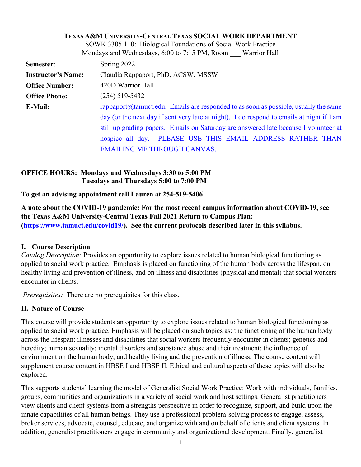|                                                                                                                                                                                                     | <b>TEXAS A&amp;M UNIVERSITY-CENTRAL TEXAS SOCIAL WORK DEPARTMENT</b> |
|-----------------------------------------------------------------------------------------------------------------------------------------------------------------------------------------------------|----------------------------------------------------------------------|
|                                                                                                                                                                                                     | SOWK 3305 110: Biological Foundations of Social Work Practice        |
|                                                                                                                                                                                                     | Mondays and Wednesdays, 6:00 to 7:15 PM, Room Warrior Hall           |
| Semester:                                                                                                                                                                                           | Spring 2022                                                          |
| <b>Instructor's Name:</b>                                                                                                                                                                           | Claudia Rappaport, PhD, ACSW, MSSW                                   |
| <b>Office Number:</b>                                                                                                                                                                               | 420D Warrior Hall                                                    |
| <b>Office Phone:</b>                                                                                                                                                                                | $(254)$ 519-5432                                                     |
| $r$ rappaport $@$ tamuct.edu. Emails are responded to as soon as possible, usually the same<br>E-Mail:<br>day (or the next day if sent very late at night). I do respond to emails at night if I am |                                                                      |
|                                                                                                                                                                                                     |                                                                      |
|                                                                                                                                                                                                     | hospice all day. PLEASE USE THIS EMAIL ADDRESS RATHER THAN           |
|                                                                                                                                                                                                     | <b>EMAILING ME THROUGH CANVAS.</b>                                   |

# **OFFICE HOURS: Mondays and Wednesdays 3:30 to 5:00 PM Tuesdays and Thursdays 5:00 to 7:00 PM**

**To get an advising appointment call Lauren at 254-519-5406**

**A note about the COVID-19 pandemic: For the most recent campus information about COViD-19, see the Texas A&M University-Central Texas Fall 2021 Return to Campus Plan: [\(https://www.tamuct.edu/covid19/\)](https://www.tamuct.edu/covid19/). See the current protocols described later in this syllabus.**

# **I. Course Description**

*Catalog Description:* Provides an opportunity to explore issues related to human biological functioning as applied to social work practice. Emphasis is placed on functioning of the human body across the lifespan, on healthy living and prevention of illness, and on illness and disabilities (physical and mental) that social workers encounter in clients.

*Prerequisites:* There are no prerequisites for this class.

# **II. Nature of Course**

This course will provide students an opportunity to explore issues related to human biological functioning as applied to social work practice. Emphasis will be placed on such topics as: the functioning of the human body across the lifespan; illnesses and disabilities that social workers frequently encounter in clients; genetics and heredity; human sexuality; mental disorders and substance abuse and their treatment; the influence of environment on the human body; and healthy living and the prevention of illness. The course content will supplement course content in HBSE I and HBSE II. Ethical and cultural aspects of these topics will also be explored.

This supports students' learning the model of Generalist Social Work Practice: Work with individuals, families, groups, communities and organizations in a variety of social work and host settings. Generalist practitioners view clients and client systems from a strengths perspective in order to recognize, support, and build upon the innate capabilities of all human beings. They use a professional problem-solving process to engage, assess, broker services, advocate, counsel, educate, and organize with and on behalf of clients and client systems. In addition, generalist practitioners engage in community and organizational development. Finally, generalist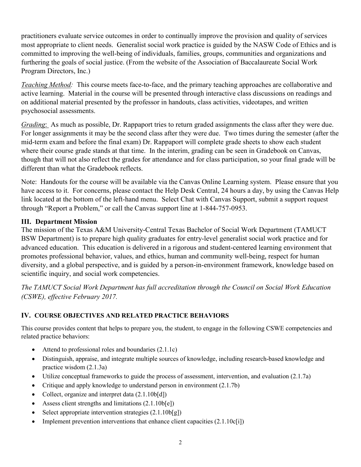practitioners evaluate service outcomes in order to continually improve the provision and quality of services most appropriate to client needs. Generalist social work practice is guided by the NASW Code of Ethics and is committed to improving the well-being of individuals, families, groups, communities and organizations and furthering the goals of social justice. (From the website of the Association of Baccalaureate Social Work Program Directors, Inc.)

*Teaching Method:* This course meets face-to-face, and the primary teaching approaches are collaborative and active learning. Material in the course will be presented through interactive class discussions on readings and on additional material presented by the professor in handouts, class activities, videotapes, and written psychosocial assessments.

*Grading*: As much as possible, Dr. Rappaport tries to return graded assignments the class after they were due. For longer assignments it may be the second class after they were due. Two times during the semester (after the mid-term exam and before the final exam) Dr. Rappaport will complete grade sheets to show each student where their course grade stands at that time. In the interim, grading can be seen in Gradebook on Canvas, though that will not also reflect the grades for attendance and for class participation, so your final grade will be different than what the Gradebook reflects.

Note: Handouts for the course will be available via the Canvas Online Learning system. Please ensure that you have access to it. For concerns, please contact the Help Desk Central, 24 hours a day, by using the Canvas Help link located at the bottom of the left-hand menu. Select Chat with Canvas Support, submit a support request through "Report a Problem," or call the Canvas support line at 1-844-757-0953.

# **III. Department Mission**

The mission of the Texas A&M University-Central Texas Bachelor of Social Work Department (TAMUCT BSW Department) is to prepare high quality graduates for entry-level generalist social work practice and for advanced education. This education is delivered in a rigorous and student-centered learning environment that promotes professional behavior, values, and ethics, human and community well-being, respect for human diversity, and a global perspective, and is guided by a person-in-environment framework, knowledge based on scientific inquiry, and social work competencies.

*The TAMUCT Social Work Department has full accreditation through the Council on Social Work Education (CSWE), effective February 2017.* 

# **IV. COURSE OBJECTIVES AND RELATED PRACTICE BEHAVIORS**

This course provides content that helps to prepare you, the student, to engage in the following CSWE competencies and related practice behaviors:

- Attend to professional roles and boundaries (2.1.1c)
- Distinguish, appraise, and integrate multiple sources of knowledge, including research-based knowledge and practice wisdom (2.1.3a)
- Utilize conceptual frameworks to guide the process of assessment, intervention, and evaluation (2.1.7a)
- Critique and apply knowledge to understand person in environment (2.1.7b)
- Collect, organize and interpret data  $(2.1.10\text{b}[\text{d}])$
- Assess client strengths and limitations  $(2.1.10b[e])$
- Select appropriate intervention strategies  $(2.1.10\text{b[g]})$
- Implement prevention interventions that enhance client capacities  $(2.1.10c[i])$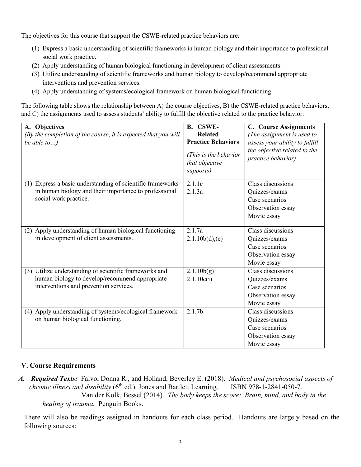The objectives for this course that support the CSWE-related practice behaviors are:

- (1) Express a basic understanding of scientific frameworks in human biology and their importance to professional social work practice.
- (2) Apply understanding of human biological functioning in development of client assessments.
- (3) Utilize understanding of scientific frameworks and human biology to develop/recommend appropriate interventions and prevention services.
- (4) Apply understanding of systems/ecological framework on human biological functioning.

The following table shows the relationship between A) the course objectives, B) the CSWE-related practice behaviors, and C) the assignments used to assess students' ability to fulfill the objective related to the practice behavior:

| A. Objectives<br>(By the completion of the course, it is expected that you will<br>be able to)                                                     | <b>B.</b> CSWE-<br><b>Related</b><br><b>Practice Behaviors</b><br>(This is the behavior<br>that objective<br>supports) | <b>C.</b> Course Assignments<br>(The assignment is used to<br>assess your ability to fulfill<br>the objective related to the<br>practice behavior) |
|----------------------------------------------------------------------------------------------------------------------------------------------------|------------------------------------------------------------------------------------------------------------------------|----------------------------------------------------------------------------------------------------------------------------------------------------|
| Express a basic understanding of scientific frameworks<br>(1)<br>in human biology and their importance to professional<br>social work practice.    | 2.1.1c<br>2.1.3a                                                                                                       | Class discussions<br>Quizzes/exams<br>Case scenarios<br>Observation essay<br>Movie essay                                                           |
| (2) Apply understanding of human biological functioning<br>in development of client assessments.                                                   | 2.1.7a<br>2.1.10b(d),(e)                                                                                               | Class discussions<br>Quizzes/exams<br>Case scenarios<br>Observation essay<br>Movie essay                                                           |
| (3) Utilize understanding of scientific frameworks and<br>human biology to develop/recommend appropriate<br>interventions and prevention services. | 2.1.10b(g)<br>2.1.10c(i)                                                                                               | Class discussions<br>Quizzes/exams<br>Case scenarios<br>Observation essay<br>Movie essay                                                           |
| (4) Apply understanding of systems/ecological framework<br>on human biological functioning.                                                        | 2.1.7 <sub>b</sub>                                                                                                     | Class discussions<br>Quizzes/exams<br>Case scenarios<br>Observation essay<br>Movie essay                                                           |

# **V. Course Requirements**

*A. Required Texts:* Falvo, Donna R., and Holland, Beverley E. (2018). *Medical and psychosocial aspects of chronic illness and disability* (6<sup>th</sup> ed.). Jones and Bartlett Learning. ISBN 978-1-2841-050-7. Van der Kolk, Bessel (2014). *The body keeps the score: Brain, mind, and body in the healing of trauma.* Penguin Books.

There will also be readings assigned in handouts for each class period. Handouts are largely based on the following sources: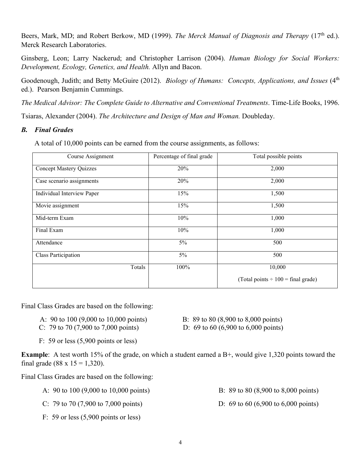Beers, Mark, MD; and Robert Berkow, MD (1999). *The Merck Manual of Diagnosis and Therapy* (17<sup>th</sup> ed.). Merck Research Laboratories.

Ginsberg, Leon; Larry Nackerud; and Christopher Larrison (2004). *Human Biology for Social Workers: Development, Ecology, Genetics, and Health.* Allyn and Bacon.

Goodenough, Judith; and Betty McGuire (2012). *Biology of Humans: Concepts, Applications, and Issues* (4<sup>th</sup>) ed.). Pearson Benjamin Cummings.

*The Medical Advisor: The Complete Guide to Alternative and Conventional Treatments*. Time-Life Books, 1996.

Tsiaras, Alexander (2004). *The Architecture and Design of Man and Woman.* Doubleday.

# *B. Final Grades*

A total of 10,000 points can be earned from the course assignments, as follows:

| Course Assignment              | Percentage of final grade | Total possible points                   |
|--------------------------------|---------------------------|-----------------------------------------|
| <b>Concept Mastery Quizzes</b> | 20%                       | 2,000                                   |
| Case scenario assignments      | 20%                       | 2,000                                   |
| Individual Interview Paper     | 15%                       | 1,500                                   |
| Movie assignment               | 15%                       | 1,500                                   |
| Mid-term Exam                  | 10%                       | 1,000                                   |
| Final Exam                     | 10%                       | 1,000                                   |
| Attendance                     | 5%                        | 500                                     |
| Class Participation            | 5%                        | 500                                     |
| Totals                         | 100%                      | 10,000                                  |
|                                |                           | (Total points $\div 100 =$ final grade) |

Final Class Grades are based on the following:

- A: 90 to 100 (9,000 to 10,000 points) B: 89 to 80 (8,900 to 8,000 points) C: 79 to 70 (7,900 to 7,000 points) D: 69 to 60 (6,900 to 6,000 points)
- -

F: 59 or less (5,900 points or less)

**Example**: A test worth 15% of the grade, on which a student earned a B+, would give 1,320 points toward the final grade (88 x  $15 = 1,320$ ).

Final Class Grades are based on the following:

- A: 90 to 100 (9,000 to 10,000 points) B: 89 to 80 (8,900 to 8,000 points)
- C: 79 to 70 (7,900 to 7,000 points) D: 69 to 60 (6,900 to 6,000 points)
- F: 59 or less (5,900 points or less)
- 
-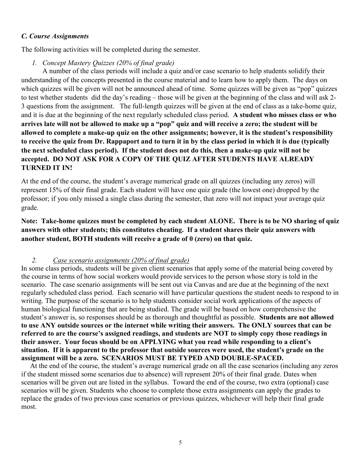## *C. Course Assignments*

The following activities will be completed during the semester.

*1. Concept Mastery Quizzes (20% of final grade)*

A number of the class periods will include a quiz and/or case scenario to help students solidify their understanding of the concepts presented in the course material and to learn how to apply them. The days on which quizzes will be given will not be announced ahead of time. Some quizzes will be given as "pop" quizzes to test whether students did the day's reading – those will be given at the beginning of the class and will ask 2- 3 questions from the assignment. The full-length quizzes will be given at the end of class as a take-home quiz, and it is due at the beginning of the next regularly scheduled class period. **A student who misses class or who arrives late will not be allowed to make up a "pop" quiz and will receive a zero; the student will be allowed to complete a make-up quiz on the other assignments; however, it is the student's responsibility to receive the quiz from Dr. Rappaport and to turn it in by the class period in which it is due (typically the next scheduled class period). If the student does not do this, then a make-up quiz will not be accepted. DO NOT ASK FOR A COPY OF THE QUIZ AFTER STUDENTS HAVE ALREADY TURNED IT IN!**

At the end of the course, the student's average numerical grade on all quizzes (including any zeros) will represent 15% of their final grade. Each student will have one quiz grade (the lowest one) dropped by the professor; if you only missed a single class during the semester, that zero will not impact your average quiz grade.

**Note: Take-home quizzes must be completed by each student ALONE. There is to be NO sharing of quiz answers with other students; this constitutes cheating. If a student shares their quiz answers with another student, BOTH students will receive a grade of 0 (zero) on that quiz.**

### *2. Case scenario assignments (20% of final grade)*

In some class periods, students will be given client scenarios that apply some of the material being covered by the course in terms of how social workers would provide services to the person whose story is told in the scenario. The case scenario assignments will be sent out via Canvas and are due at the beginning of the next regularly scheduled class period. Each scenario will have particular questions the student needs to respond to in writing. The purpose of the scenario is to help students consider social work applications of the aspects of human biological functioning that are being studied. The grade will be based on how comprehensive the student's answer is, so responses should be as thorough and thoughtful as possible. **Students are not allowed to use ANY outside sources or the internet while writing their answers. The ONLY sources that can be referred to are the course's assigned readings, and students are NOT to simply copy those readings in their answer. Your focus should be on APPLYING what you read while responding to a client's situation. If it is apparent to the professor that outside sources were used, the student's grade on the assignment will be a zero. SCENARIOS MUST BE TYPED AND DOUBLE-SPACED.**

At the end of the course, the student's average numerical grade on all the case scenarios (including any zeros if the student missed some scenarios due to absence) will represent 20% of their final grade. Dates when scenarios will be given out are listed in the syllabus. Toward the end of the course, two extra (optional) case scenarios will be given. Students who choose to complete those extra assignments can apply the grades to replace the grades of two previous case scenarios or previous quizzes, whichever will help their final grade most.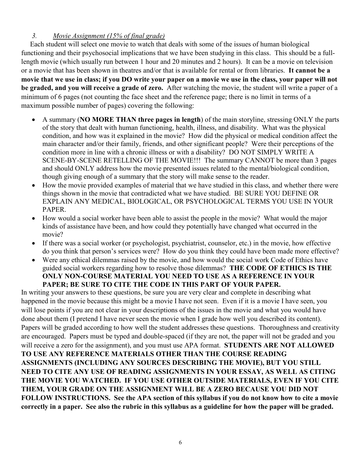# *3. Movie Assignment (15% of final grade)*

 Each student will select one movie to watch that deals with some of the issues of human biological functioning and their psychosocial implications that we have been studying in this class. This should be a fulllength movie (which usually run between 1 hour and 20 minutes and 2 hours). It can be a movie on television or a movie that has been shown in theatres and/or that is available for rental or from libraries. **It cannot be a movie that we use in class; if you DO write your paper on a movie we use in the class, your paper will not be graded, and you will receive a grade of zero.** After watching the movie, the student will write a paper of a minimum of 6 pages (not counting the face sheet and the reference page; there is no limit in terms of a maximum possible number of pages) covering the following:

- A summary (**NO MORE THAN three pages in length**) of the main storyline, stressing ONLY the parts of the story that dealt with human functioning, health, illness, and disability. What was the physical condition, and how was it explained in the movie? How did the physical or medical condition affect the main character and/or their family, friends, and other significant people? Were their perceptions of the condition more in line with a chronic illness or with a disability? DO NOT SIMPLY WRITE A SCENE-BY-SCENE RETELLING OF THE MOVIE!!! The summary CANNOT be more than 3 pages and should ONLY address how the movie presented issues related to the mental/biological condition, though giving enough of a summary that the story will make sense to the reader.
- How the movie provided examples of material that we have studied in this class, and whether there were things shown in the movie that contradicted what we have studied. BE SURE YOU DEFINE OR EXPLAIN ANY MEDICAL, BIOLOGICAL, OR PSYCHOLOGICAL TERMS YOU USE IN YOUR PAPER.
- How would a social worker have been able to assist the people in the movie? What would the major kinds of assistance have been, and how could they potentially have changed what occurred in the movie?
- If there was a social worker (or psychologist, psychiatrist, counselor, etc.) in the movie, how effective do you think that person's services were? How do you think they could have been made more effective?
- Were any ethical dilemmas raised by the movie, and how would the social work Code of Ethics have guided social workers regarding how to resolve those dilemmas? **THE CODE OF ETHICS IS THE ONLY NON-COURSE MATERIAL YOU NEED TO USE AS A REFERENCE IN YOUR PAPER; BE SURE TO CITE THE CODE IN THIS PART OF YOUR PAPER.**

In writing your answers to these questions, be sure you are very clear and complete in describing what happened in the movie because this might be a movie I have not seen. Even if it is a movie I have seen, you will lose points if you are not clear in your descriptions of the issues in the movie and what you would have done about them (I pretend I have never seen the movie when I grade how well you described its content). Papers will be graded according to how well the student addresses these questions. Thoroughness and creativity are encouraged. Papers must be typed and double-spaced (if they are not, the paper will not be graded and you will receive a zero for the assignment), and you must use APA format. **STUDENTS ARE NOT ALLOWED TO USE ANY REFERENCE MATERIALS OTHER THAN THE COURSE READING ASSIGNMENTS (INCLUDING ANY SOURCES DESCRIBING THE MOVIE), BUT YOU STILL NEED TO CITE ANY USE OF READING ASSIGNMENTS IN YOUR ESSAY, AS WELL AS CITING THE MOVIE YOU WATCHED. IF YOU USE OTHER OUTSIDE MATERIALS, EVEN IF YOU CITE THEM, YOUR GRADE ON THE ASSIGNMENT WILL BE A ZERO BECAUSE YOU DID NOT FOLLOW INSTRUCTIONS. See the APA section of this syllabus if you do not know how to cite a movie correctly in a paper. See also the rubric in this syllabus as a guideline for how the paper will be graded.**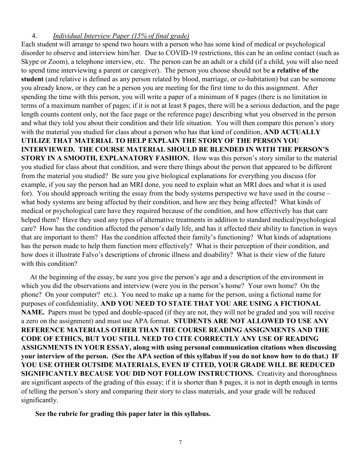## 4. *Individual Interview Paper (15% of final grade)*

Each student will arrange to spend two hours with a person who has some kind of medical or psychological disorder to observe and interview him/her. Due to COVID-19 restrictions, this can be an online contact (such as Skype or Zoom), a telephone interview, etc. The person can be an adult or a child (if a child, you will also need to spend time interviewing a parent or caregiver). The person you choose should not be **a relative of the student** (and relative is defined as any person related by blood, marriage, or co-habitation) but can be someone you already know, or they can be a person you are meeting for the first time to do this assignment. After spending the time with this person, you will write a paper of a minimum of 8 pages (there is no limitation in terms of a maximum number of pages; if it is not at least 8 pages, there will be a serious deduction, and the page length counts content only, not the face page or the reference page) describing what you observed in the person and what they told you about their condition and their life situation. You will then compare this person's story with the material you studied for class about a person who has that kind of condition, **AND ACTUALLY UTILIZE THAT MATERIAL TO HELP EXPLAIN THE STORY OF THE PERSON YOU INTERVIEWED. THE COURSE MATERIAL SHOULD BE BLENDED IN WITH THE PERSON'S STORY IN A SMOOTH, EXPLANATORY FASHION.** How was this person's story similar to the material you studied for class about that condition, and were there things about the person that appeared to be different from the material you studied? Be sure you give biological explanations for everything you discuss (for example, if you say the person had an MRI done, you need to explain what an MRI does and what it is used for). You should approach writing the essay from the body systems perspective we have used in the course – what body systems are being affected by their condition, and how are they being affected? What kinds of medical or psychological care have they required because of the condition, and how effectively has that care helped them? Have they used any types of alternative treatments in addition to standard medical/psychological care? How has the condition affected the person's daily life, and has it affected their ability to function in ways that are important to them? Has the condition affected their family's functioning? What kinds of adaptations has the person made to help them function more effectively? What is their perception of their condition, and how does it illustrate Falvo's descriptions of chronic illness and disability? What is their view of the future with this condition?

 At the beginning of the essay, be sure you give the person's age and a description of the environment in which you did the observations and interview (were you in the person's home? Your own home? On the phone? On your computer? etc.). You need to make up a name for the person, using a fictional name for purposes of confidentiality, **AND YOU NEED TO STATE THAT YOU ARE USING A FICTIONAL NAME.** Papers must be typed and double-spaced (if they are not, they will not be graded and you will receive a zero on the assignment) and must use APA format. **STUDENTS ARE NOT ALLOWED TO USE ANY REFERENCE MATERIALS OTHER THAN THE COURSE READING ASSIGNMENTS AND THE CODE OF ETHICS, BUT YOU STILL NEED TO CITE CORRECTLY ANY USE OF READING ASSIGNMENTS IN YOUR ESSAY, along with using personal communication citations when discussing your interview of the person. (See the APA section of this syllabus if you do not know how to do that.) IF YOU USE OTHER OUTSIDE MATERIALS, EVEN IF CITED, YOUR GRADE WILL BE REDUCED SIGNIFICANTLY BECAUSE YOU DID NOT FOLLOW INSTRUCTIONS.** Creativity and thoroughness are significant aspects of the grading of this essay; if it is shorter than 8 pages, it is not in depth enough in terms of telling the person's story and comparing their story to class materials, and your grade will be reduced significantly.

## **See the rubric for grading this paper later in this syllabus.**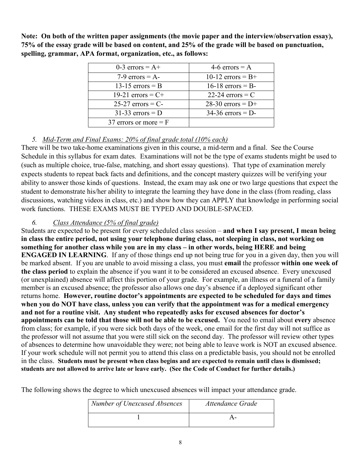**Note: On both of the written paper assignments (the movie paper and the interview/observation essay), 75% of the essay grade will be based on content, and 25% of the grade will be based on punctuation, spelling, grammar, APA format, organization, etc., as follows:**

| 0-3 errors = $A+$       | 4-6 errors $= A$    |
|-------------------------|---------------------|
| 7-9 errors = $A$ -      | 10-12 errors = $B+$ |
| 13-15 errors $=$ B      | 16-18 errors $=$ B- |
| 19-21 errors = $C+$     | 22-24 errors $=$ C  |
| $25-27$ errors = C-     | $28-30$ errors = D+ |
| $31-33$ errors = D      | $34-36$ errors = D- |
| 37 errors or more $=$ F |                     |

# *5. Mid-Term and Final Exams: 20% of final grade total (10% each)*

There will be two take-home examinations given in this course, a mid-term and a final. See the Course Schedule in this syllabus for exam dates. Examinations will not be the type of exams students might be used to (such as multiple choice, true-false, matching, and short essay questions). That type of examination merely expects students to repeat back facts and definitions, and the concept mastery quizzes will be verifying your ability to answer those kinds of questions. Instead, the exam may ask one or two large questions that expect the student to demonstrate his/her ability to integrate the learning they have done in the class (from reading, class discussions, watching videos in class, etc.) and show how they can APPLY that knowledge in performing social work functions. THESE EXAMS MUST BE TYPED AND DOUBLE-SPACED.

# *6. Class Attendance (5% of final grade)*

Students are expected to be present for every scheduled class session – **and when I say present, I mean being in class the entire period, not using your telephone during class, not sleeping in class, not working on something for another class while you are in my class – in other words, being HERE and being ENGAGED IN LEARNING**. If any of those things end up not being true for you in a given day, then you will be marked absent. If you are unable to avoid missing a class, you must **email** the professor **within one week of the class period** to explain the absence if you want it to be considered an excused absence. Every unexcused (or unexplained) absence will affect this portion of your grade. For example, an illness or a funeral of a family member is an excused absence; the professor also allows one day's absence if a deployed significant other returns home. **However, routine doctor's appointments are expected to be scheduled for days and times when you do NOT have class, unless you can verify that the appointment was for a medical emergency and not for a routine visit. Any student who repeatedly asks for excused absences for doctor's appointments can be told that those will not be able to be excused.** You need to email about **every** absence from class; for example, if you were sick both days of the week, one email for the first day will not suffice as the professor will not assume that you were still sick on the second day. The professor will review other types of absences to determine how unavoidable they were; not being able to leave work is NOT an excused absence. If your work schedule will not permit you to attend this class on a predictable basis, you should not be enrolled in the class. **Students must be present when class begins and are expected to remain until class is dismissed; students are not allowed to arrive late or leave early. (See the Code of Conduct for further details.)** 

The following shows the degree to which unexcused absences will impact your attendance grade.

| Number of Unexcused Absences | Attendance Grade |
|------------------------------|------------------|
|                              |                  |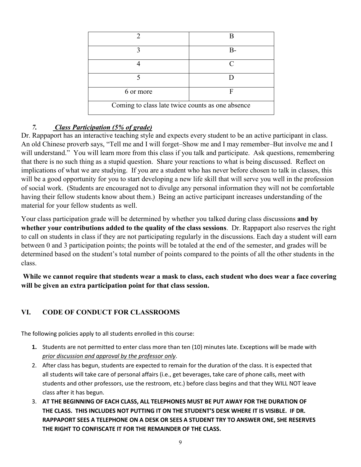|                                                  | B-        |
|--------------------------------------------------|-----------|
|                                                  | $\subset$ |
|                                                  |           |
| 6 or more                                        | F         |
| Coming to class late twice counts as one absence |           |

# *7. Class Participation (5% of grade)*

Dr. Rappaport has an interactive teaching style and expects every student to be an active participant in class. An old Chinese proverb says, "Tell me and I will forget–Show me and I may remember–But involve me and I will understand." You will learn more from this class if you talk and participate. Ask questions, remembering that there is no such thing as a stupid question. Share your reactions to what is being discussed. Reflect on implications of what we are studying. If you are a student who has never before chosen to talk in classes, this will be a good opportunity for you to start developing a new life skill that will serve you well in the profession of social work. (Students are encouraged not to divulge any personal information they will not be comfortable having their fellow students know about them.) Being an active participant increases understanding of the material for your fellow students as well.

Your class participation grade will be determined by whether you talked during class discussions **and by whether your contributions added to the quality of the class sessions**. Dr. Rappaport also reserves the right to call on students in class if they are not participating regularly in the discussions. Each day a student will earn between 0 and 3 participation points; the points will be totaled at the end of the semester, and grades will be determined based on the student's total number of points compared to the points of all the other students in the class.

**While we cannot require that students wear a mask to class, each student who does wear a face covering will be given an extra participation point for that class session.**

# **VI. CODE OF CONDUCT FOR CLASSROOMS**

The following policies apply to all students enrolled in this course:

- **1.** Students are not permitted to enter class more than ten (10) minutes late. Exceptions will be made with *prior discussion and approval by the professor only*.
- 2. After class has begun, students are expected to remain for the duration of the class. It is expected that all students will take care of personal affairs (i.e., get beverages, take care of phone calls, meet with students and other professors, use the restroom, etc.) before class begins and that they WILL NOT leave class after it has begun.
- 3. **AT THE BEGINNING OF EACH CLASS, ALL TELEPHONES MUST BE PUT AWAY FOR THE DURATION OF THE CLASS. THIS INCLUDES NOT PUTTING IT ON THE STUDENT'S DESK WHERE IT IS VISIBLE. IF DR. RAPPAPORT SEES A TELEPHONE ON A DESK OR SEES A STUDENT TRY TO ANSWER ONE, SHE RESERVES THE RIGHT TO CONFISCATE IT FOR THE REMAINDER OF THE CLASS.**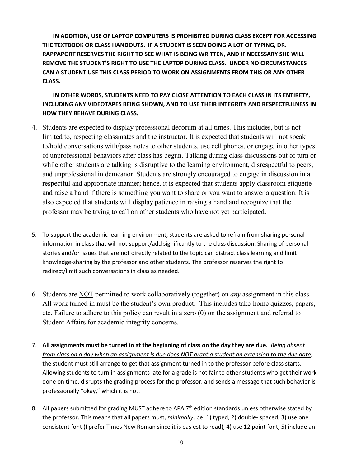**IN ADDITION, USE OF LAPTOP COMPUTERS IS PROHIBITED DURING CLASS EXCEPT FOR ACCESSING THE TEXTBOOK OR CLASS HANDOUTS. IF A STUDENT IS SEEN DOING A LOT OF TYPING, DR. RAPPAPORT RESERVES THE RIGHT TO SEE WHAT IS BEING WRITTEN, AND IF NECESSARY SHE WILL REMOVE THE STUDENT'S RIGHT TO USE THE LAPTOP DURING CLASS. UNDER NO CIRCUMSTANCES CAN A STUDENT USE THIS CLASS PERIOD TO WORK ON ASSIGNMENTS FROM THIS OR ANY OTHER CLASS.** 

**IN OTHER WORDS, STUDENTS NEED TO PAY CLOSE ATTENTION TO EACH CLASS IN ITS ENTIRETY, INCLUDING ANY VIDEOTAPES BEING SHOWN, AND TO USE THEIR INTEGRITY AND RESPECTFULNESS IN HOW THEY BEHAVE DURING CLASS.**

- 4. Students are expected to display professional decorum at all times. This includes, but is not limited to, respecting classmates and the instructor. It is expected that students will not speak to/hold conversations with/pass notes to other students, use cell phones, or engage in other types of unprofessional behaviors after class has begun. Talking during class discussions out of turn or while other students are talking is disruptive to the learning environment, disrespectful to peers, and unprofessional in demeanor. Students are strongly encouraged to engage in discussion in a respectful and appropriate manner; hence, it is expected that students apply classroom etiquette and raise a hand if there is something you want to share or you want to answer a question. It is also expected that students will display patience in raising a hand and recognize that the professor may be trying to call on other students who have not yet participated.
- 5. To support the academic learning environment, students are asked to refrain from sharing personal information in class that will not support/add significantly to the class discussion. Sharing of personal stories and/or issues that are not directly related to the topic can distract class learning and limit knowledge-sharing by the professor and other students. The professor reserves the right to redirect/limit such conversations in class as needed.
- 6. Students are NOT permitted to work collaboratively (together) on *any* assignment in this class. All work turned in must be the student's own product. This includes take-home quizzes, papers, etc. Failure to adhere to this policy can result in a zero (0) on the assignment and referral to Student Affairs for academic integrity concerns.
- 7. **All assignments must be turned in at the beginning of class on the day they are due.** *Being absent from class on a day when an assignment is due does NOT grant a student an extension to the due date*; the student must still arrange to get that assignment turned in to the professor before class starts. Allowing students to turn in assignments late for a grade is not fair to other students who get their work done on time, disrupts the grading process for the professor, and sends a message that such behavior is professionally "okay," which it is not.
- 8. All papers submitted for grading MUST adhere to APA 7<sup>th</sup> edition standards unless otherwise stated by the professor. This means that all papers must, *minimally*, be: 1) typed, 2) double- spaced, 3) use one consistent font (I prefer Times New Roman since it is easiest to read), 4) use 12 point font, 5) include an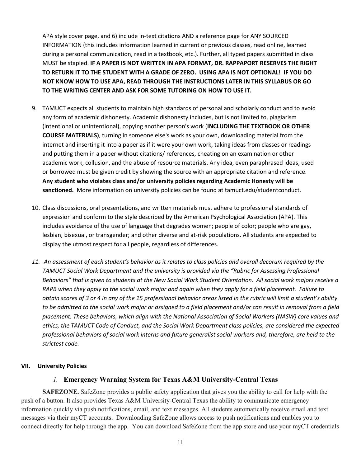APA style cover page, and 6) include in-text citations AND a reference page for ANY SOURCED INFORMATION (this includes information learned in current or previous classes, read online, learned during a personal communication, read in a textbook, etc.). Further, all typed papers submitted in class MUST be stapled. **IF A PAPER IS NOT WRITTEN IN APA FORMAT, DR. RAPPAPORT RESERVES THE RIGHT TO RETURN IT TO THE STUDENT WITH A GRADE OF ZERO. USING APA IS NOT OPTIONAL! IF YOU DO NOT KNOW HOW TO USE APA, READ THROUGH THE INSTRUCTIONS LATER IN THIS SYLLABUS OR GO TO THE WRITING CENTER AND ASK FOR SOME TUTORING ON HOW TO USE IT.**

- 9. TAMUCT expects all students to maintain high standards of personal and scholarly conduct and to avoid any form of academic dishonesty. Academic dishonesty includes, but is not limited to, plagiarism (intentional or unintentional), copying another person's work (**INCLUDING THE TEXTBOOK OR OTHER COURSE MATERIALS)**, turning in someone else's work as your own, downloading material from the internet and inserting it into a paper as if it were your own work, taking ideas from classes or readings and putting them in a paper without citations/ references, cheating on an examination or other academic work, collusion, and the abuse of resource materials. Any idea, even paraphrased ideas, used or borrowed must be given credit by showing the source with an appropriate citation and reference. **Any student who violates class and/or university policies regarding Academic Honesty will be sanctioned.** More information on university policies can be found at tamuct.edu/studentconduct.
- 10. Class discussions, oral presentations, and written materials must adhere to professional standards of expression and conform to the style described by the American Psychological Association (APA). This includes avoidance of the use of language that degrades women; people of color; people who are gay, lesbian, bisexual, or transgender; and other diverse and at-risk populations. All students are expected to display the utmost respect for all people, regardless of differences.
- *11. An assessment of each student's behavior as it relates to class policies and overall decorum required by the TAMUCT Social Work Department and the university is provided via the "Rubric for Assessing Professional Behaviors" that is given to students at the New Social Work Student Orientation. All social work majors receive a RAPB when they apply to the social work major and again when they apply for a field placement. Failure to obtain scores of 3 or 4 in any of the 15 professional behavior areas listed in the rubric will limit a student's ability to be admitted to the social work major or assigned to a field placement and/or can result in removal from a field placement. These behaviors, which align with the National Association of Social Workers (NASW) core values and ethics, the TAMUCT Code of Conduct, and the Social Work Department class policies, are considered the expected professional behaviors of social work interns and future generalist social workers and, therefore, are held to the strictest code.*

### **VII. University Policies**

### *1.* **Emergency Warning System for Texas A&M University-Central Texas**

**SAFEZONE.** SafeZone provides a public safety application that gives you the ability to call for help with the push of a button. It also provides Texas A&M University-Central Texas the ability to communicate emergency information quickly via push notifications, email, and text messages. All students automatically receive email and text messages via their myCT accounts. Downloading SafeZone allows access to push notifications and enables you to connect directly for help through the app. You can download SafeZone from the app store and use your myCT credentials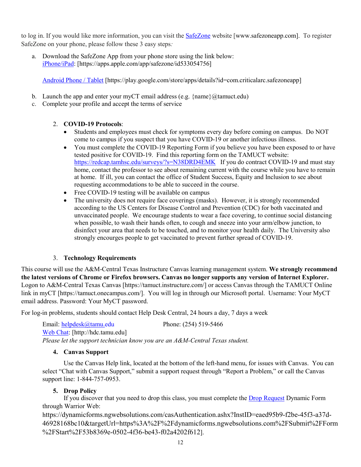to log in. If you would like more information, you can visit the **[SafeZone](http://www.safezoneapp.com/)** website [www.safezoneapp.com]. To register SafeZone on your phone, please follow these 3 easy steps*:*

a. Download the SafeZone App from your phone store using the link below: [iPhone/iPad:](https://apps.apple.com/app/safezone/id533054756) [https://apps.apple.com/app/safezone/id533054756]

[Android Phone / Tablet](https://play.google.com/store/apps/details?id=com.criticalarc.safezoneapp) [https://play.google.com/store/apps/details?id=com.criticalarc.safezoneapp]

- b. Launch the app and enter your myCT email address (e.g.  $\{\text{name}\}\$ @tamuct.edu)
- c. Complete your profile and accept the terms of service

## 2. **COVID-19 Protocols**:

- Students and employees must check for symptoms every day before coming on campus. Do NOT come to campus if you suspect that you have COVID-19 or another infectious illness.
- You must complete the COVID-19 Reporting Form if you believe you have been exposed to or have tested positive for COVID-19. Find this reporting form on the TAMUCT website: <https://redcap.tamhsc.edu/surveys/?s=N38DRD4EMK>If you do contract COVID-19 and must stay home, contact the professor to see about remaining current with the course while you have to remain at home. If ill, you can contact the office of Student Success, Equity and Inclusion to see about requesting accommodations to be able to succeed in the course.
- Free COVID-19 testing will be available on campus
- The university does not require face coverings (masks). However, it is strongly recommended according to the US Centers for Disease Control and Prevention (CDC) for both vaccinated and unvaccinated people. We encourage students to wear a face covering, to continue social distancing when possible, to wash their hands often, to cough and sneeze into your arm/elbow junction, to disinfect your area that needs to be touched, and to monitor your health daily. The University also strongly encourges people to get vaccinated to prevent further spread of COVID-19.

## 3. **Technology Requirements**

This course will use the A&M-Central Texas Instructure Canvas learning management system. **We strongly recommend the latest versions of Chrome or Firefox browsers. Canvas no longer supports any version of Internet Explorer.**  Logon to A&M-Central Texas Canvas [https://tamuct.instructure.com/] or access Canvas through the TAMUCT Online link in myCT [https://tamuct.onecampus.com/]. You will log in through our Microsoft portal. Username: Your MyCT email address. Password: Your MyCT password.

For log-in problems, students should contact Help Desk Central, 24 hours a day, 7 days a week

Email: [helpdesk@tamu.edu](mailto:helpdesk@tamu.edu) Phone: (254) 519-5466 [Web Chat:](http://hdc.tamu.edu/) [http://hdc.tamu.edu] *Please let the support technician know you are an A&M-Central Texas student.*

## **4. Canvas Support**

Use the Canvas Help link, located at the bottom of the left-hand menu, for issues with Canvas. You can select "Chat with Canvas Support," submit a support request through "Report a Problem," or call the Canvas support line: 1-844-757-0953.

# **5. Drop Policy**

If you discover that you need to drop this class, you must complete th[e Drop Request](https://dynamicforms.ngwebsolutions.com/casAuthentication.ashx?InstID=eaed95b9-f2be-45f3-a37d-46928168bc10&targetUrl=https%3A%2F%2Fdynamicforms.ngwebsolutions.com%2FSubmit%2FForm%2FStart%2F53b8369e-0502-4f36-be43-f02a4202f612) Dynamic Form through Warrior Web:

https://dynamicforms.ngwebsolutions.com/casAuthentication.ashx?InstID=eaed95b9-f2be-45f3-a37d-46928168bc10&targetUrl=https%3A%2F%2Fdynamicforms.ngwebsolutions.com%2FSubmit%2FForm %2FStart%2F53b8369e-0502-4f36-be43-f02a4202f612].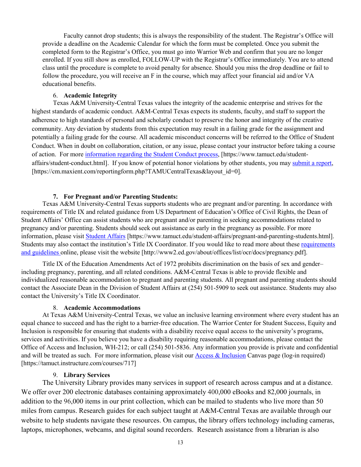Faculty cannot drop students; this is always the responsibility of the student. The Registrar's Office will provide a deadline on the Academic Calendar for which the form must be completed. Once you submit the completed form to the Registrar's Office, you must go into Warrior Web and confirm that you are no longer enrolled. If you still show as enrolled, FOLLOW-UP with the Registrar's Office immediately. You are to attend class until the procedure is complete to avoid penalty for absence. Should you miss the drop deadline or fail to follow the procedure, you will receive an F in the course, which may affect your financial aid and/or VA educational benefits.

#### 6. **Academic Integrity**

Texas A&M University-Central Texas values the integrity of the academic enterprise and strives for the highest standards of academic conduct. A&M-Central Texas expects its students, faculty, and staff to support the adherence to high standards of personal and scholarly conduct to preserve the honor and integrity of the creative community. Any deviation by students from this expectation may result in a failing grade for the assignment and potentially a failing grade for the course. All academic misconduct concerns will be referred to the Office of Student Conduct. When in doubt on collaboration, citation, or any issue, please contact your instructor before taking a course of action. For more [information](https://nam04.safelinks.protection.outlook.com/?url=https%3A%2F%2Fwww.tamuct.edu%2Fstudent-affairs%2Fstudent-conduct.html&data=04%7C01%7Clisa.bunkowski%40tamuct.edu%7Ccfb6e486f24745f53e1a08d910055cb2%7C9eed4e3000f744849ff193ad8005acec%7C0%7C0%7C637558437485252160%7CUnknown%7CTWFpbGZsb3d8eyJWIjoiMC4wLjAwMDAiLCJQIjoiV2luMzIiLCJBTiI6Ik1haWwiLCJXVCI6Mn0%3D%7C1000&sdata=yjftDEVHvLX%2FhM%2FcFU0B99krV1RgEWR%2BJ%2BhvtoR6TYk%3D&reserved=0) regarding the Student Conduct process, [https://www.tamuct.edu/studentaffairs/student-conduct.html]. If you know of potential honor violations by other students, you may [submit](https://nam04.safelinks.protection.outlook.com/?url=https%3A%2F%2Fcm.maxient.com%2Freportingform.php%3FTAMUCentralTexas%26layout_id%3D0&data=04%7C01%7Clisa.bunkowski%40tamuct.edu%7Ccfb6e486f24745f53e1a08d910055cb2%7C9eed4e3000f744849ff193ad8005acec%7C0%7C0%7C637558437485262157%7CUnknown%7CTWFpbGZsb3d8eyJWIjoiMC4wLjAwMDAiLCJQIjoiV2luMzIiLCJBTiI6Ik1haWwiLCJXVCI6Mn0%3D%7C1000&sdata=CXGkOa6uPDPX1IMZ87z3aZDq2n91xfHKu4MMS43Ejjk%3D&reserved=0) a report, [https://cm.maxient.com/reportingform.php?TAMUCentralTexas&layout\_id=0].

### **7. For Pregnant and/or Parenting Students:**

Texas A&M University-Central Texas supports students who are pregnant and/or parenting. In accordance with requirements of Title IX and related guidance from US Department of Education's Office of Civil Rights, the Dean of Student Affairs' Office can assist students who are pregnant and/or parenting in seeking accommodations related to pregnancy and/or parenting. Students should seek out assistance as early in the pregnancy as possible. For more information, please visit [Student Affairs](https://www.tamuct.edu/student-affairs/pregnant-and-parenting-students.html) [https://www.tamuct.edu/student-affairs/pregnant-and-parenting-students.html]. Students may also contact the institution's Title IX Coordinator. If you would like to read more about these [requirements](http://www2.ed.gov/about/offices/list/ocr/docs/pregnancy.pdf)  [and guidelines](http://www2.ed.gov/about/offices/list/ocr/docs/pregnancy.pdf) online, please visit the website [http://www2.ed.gov/about/offices/list/ocr/docs/pregnancy.pdf].

Title IX of the Education Amendments Act of 1972 prohibits discrimination on the basis of sex and gender– including pregnancy, parenting, and all related conditions. A&M-Central Texas is able to provide flexible and individualized reasonable accommodation to pregnant and parenting students. All pregnant and parenting students should contact the Associate Dean in the Division of Student Affairs at (254) 501-5909 to seek out assistance. Students may also contact the University's Title IX Coordinator.

#### 8. **Academic Accommodations**

At Texas A&M University-Central Texas, we value an inclusive learning environment where every student has an equal chance to succeed and has the right to a barrier-free education. The Warrior Center for Student Success, Equity and Inclusion is responsible for ensuring that students with a disability receive equal access to the university's programs, services and activities. If you believe you have a disability requiring reasonable accommodations, please contact the Office of Access and Inclusion, WH-212; or call (254) 501-5836. Any information you provide is private and confidential and will be treated as such. For more information, please visit our [Access & Inclusion](https://tamuct.instructure.com/courses/717) Canvas page (log-in required) [https://tamuct.instructure.com/courses/717]

#### 9. **Library Services**

The University Library provides many services in support of research across campus and at a distance. We offer over 200 electronic databases containing approximately 400,000 eBooks and 82,000 journals, in addition to the 96,000 items in our print collection, which can be mailed to students who live more than 50 miles from campus. Research guides for each subject taught at A&M-Central Texas are available through our website to help students navigate these resources. On campus, the library offers technology including cameras, laptops, microphones, webcams, and digital sound recorders. Research assistance from a librarian is also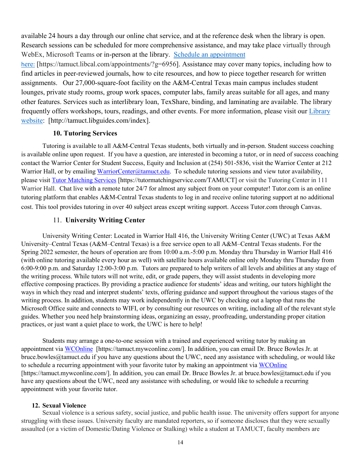available 24 hours a day through our online chat service, and at the reference desk when the library is open. Research sessions can be scheduled for more comprehensive assistance, and may take place virtually through WebEx, Microsoft Teams or in-person at the library. Schedule an [appointment](https://nam04.safelinks.protection.outlook.com/?url=https%3A%2F%2Ftamuct.libcal.com%2Fappointments%2F%3Fg%3D6956&data=04%7C01%7Clisa.bunkowski%40tamuct.edu%7Cde2c07d9f5804f09518008d9ab7ba6ff%7C9eed4e3000f744849ff193ad8005acec%7C0%7C0%7C637729369835011558%7CUnknown%7CTWFpbGZsb3d8eyJWIjoiMC4wLjAwMDAiLCJQIjoiV2luMzIiLCJBTiI6Ik1haWwiLCJXVCI6Mn0%3D%7C3000&sdata=KhtjgRSAw9aq%2FoBsB6wyu8b7PSuGN5EGPypzr3Ty2No%3D&reserved=0)

h[ere](https://nam04.safelinks.protection.outlook.com/?url=https%3A%2F%2Ftamuct.libcal.com%2Fappointments%2F%3Fg%3D6956&data=04%7C01%7Clisa.bunkowski%40tamuct.edu%7Cde2c07d9f5804f09518008d9ab7ba6ff%7C9eed4e3000f744849ff193ad8005acec%7C0%7C0%7C637729369835011558%7CUnknown%7CTWFpbGZsb3d8eyJWIjoiMC4wLjAwMDAiLCJQIjoiV2luMzIiLCJBTiI6Ik1haWwiLCJXVCI6Mn0%3D%7C3000&sdata=KhtjgRSAw9aq%2FoBsB6wyu8b7PSuGN5EGPypzr3Ty2No%3D&reserved=0): [https://tamuct.libcal.com/appointments/?g=6956]. Assistance may cover many topics, including how to find articles in peer-reviewed journals, how to cite resources, and how to piece together research for written assignments. Our 27,000-square-foot facility on the A&M-Central Texas main campus includes student lounges, private study rooms, group work spaces, computer labs, family areas suitable for all ages, and many other features. Services such as interlibrary loan, TexShare, binding, and laminating are available. The library frequently offers workshops, tours, readings, and other events. For more information, please visit our [Library](https://nam04.safelinks.protection.outlook.com/?url=https%3A%2F%2Ftamuct.libguides.com%2Findex&data=04%7C01%7Clisa.bunkowski%40tamuct.edu%7C7d8489e8839a4915335f08d916f067f2%7C9eed4e3000f744849ff193ad8005acec%7C0%7C0%7C637566044056484222%7CUnknown%7CTWFpbGZsb3d8eyJWIjoiMC4wLjAwMDAiLCJQIjoiV2luMzIiLCJBTiI6Ik1haWwiLCJXVCI6Mn0%3D%7C1000&sdata=2R755V6rcIyedGrd4Os5rkgn1PvhHKU3kUV1vBKiHFo%3D&reserved=0) [website:](https://nam04.safelinks.protection.outlook.com/?url=https%3A%2F%2Ftamuct.libguides.com%2Findex&data=04%7C01%7Clisa.bunkowski%40tamuct.edu%7C7d8489e8839a4915335f08d916f067f2%7C9eed4e3000f744849ff193ad8005acec%7C0%7C0%7C637566044056484222%7CUnknown%7CTWFpbGZsb3d8eyJWIjoiMC4wLjAwMDAiLCJQIjoiV2luMzIiLCJBTiI6Ik1haWwiLCJXVCI6Mn0%3D%7C1000&sdata=2R755V6rcIyedGrd4Os5rkgn1PvhHKU3kUV1vBKiHFo%3D&reserved=0) [http://tamuct.libguides.com/index].

### **10. Tutoring Services**

Tutoring is available to all A&M-Central Texas students, both virtually and in-person. Student success coaching is available online upon request. If you have a question, are interested in becoming a tutor, or in need of success coaching contact the Warrior Center for Student Success, Equity and Inclusion at (254) 501-5836, visit the Warrior Center at 212 Warrior Hall, or by emailing [WarriorCenter@tamuct.edu.](mailto:WarriorCenter@tamuct.edu) To schedule tutoring sessions and view tutor availability, please visit Tutor [Matching](https://tutormatchingservice.com/TAMUCT) Services [https://tutormatchingservice.com/TAMUCT] or visit the Tutoring Center in 111 Warrior Hall. Chat live with a remote tutor 24/7 for almost any subject from on your computer! Tutor.com is an online tutoring platform that enables A&M-Central Texas students to log in and receive online tutoring support at no additional cost. This tool provides tutoring in over 40 subject areas except writing support. Access Tutor.com through Canvas.

### 11. **University Writing Center**

University Writing Center: Located in Warrior Hall 416, the University Writing Center (UWC) at Texas A&M University–Central Texas (A&M–Central Texas) is a free service open to all A&M–Central Texas students. For the Spring 2022 semester, the hours of operation are from 10:00 a.m.-5:00 p.m. Monday thru Thursday in Warrior Hall 416 (with online tutoring available every hour as well) with satellite hours available online only Monday thru Thursday from 6:00-9:00 p.m. and Saturday 12:00-3:00 p.m. Tutors are prepared to help writers of all levels and abilities at any stage of the writing process. While tutors will not write, edit, or grade papers, they will assist students in developing more effective composing practices. By providing a practice audience for students' ideas and writing, our tutors highlight the ways in which they read and interpret students' texts, offering guidance and support throughout the various stages of the writing process. In addition, students may work independently in the UWC by checking out a laptop that runs the Microsoft Office suite and connects to WIFI, or by consulting our resources on writing, including all of the relevant style guides. Whether you need help brainstorming ideas, organizing an essay, proofreading, understanding proper citation practices, or just want a quiet place to work, the UWC is here to help!

Students may arrange a one-to-one session with a trained and experienced writing tutor by making an appointment via [WCOnline](https://tamuct.mywconline.com/) [https://tamuct.mywconline.com/]. In addition, you can email Dr. Bruce Bowles Jr. at bruce.bowles@tamuct.edu if you have any questions about the UWC, need any assistance with scheduling, or would like to schedule a recurring appointment with your favorite tutor by making an appointment via [WCOnline](https://tamuct.mywconline.com/) [https://tamuct.mywconline.com/]. In addition, you can email Dr. Bruce Bowles Jr. at bruce.bowles@tamuct.edu if you have any questions about the UWC, need any assistance with scheduling, or would like to schedule a recurring appointment with your favorite tutor.

### **12. Sexual Violence**

Sexual violence is a serious safety, social justice, and public health issue. The university offers support for anyone struggling with these issues. University faculty are mandated reporters, so if someone discloses that they were sexually assaulted (or a victim of Domestic/Dating Violence or Stalking) while a student at TAMUCT, faculty members are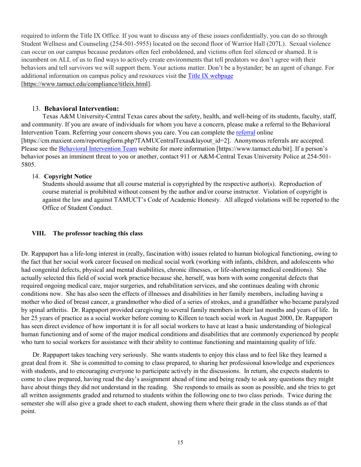required to inform the Title IX Office. If you want to discuss any of these issues confidentially, you can do so through Student Wellness and Counseling (254-501-5955) located on the second floor of Warrior Hall (207L). Sexual violence can occur on our campus because predators often feel emboldened, and victims often feel silenced or shamed. It is incumbent on ALL of us to find ways to actively create environments that tell predators we don't agree with their behaviors and tell survivors we will support them. Your actions matter. Don't be a bystander; be an agent of change. For additional information on campus policy and resources visit th[e Title IX webpage](https://www.tamuct.edu/compliance/titleix.html) [\[https://www.tamuct.edu/compliance/titleix.html\]](https://www.tamuct.edu/compliance/titleix.html).

### 13. **Behavioral Intervention:**

Texas A&M University-Central Texas cares about the safety, health, and well-being of its students, faculty, staff, and community. If you are aware of individuals for whom you have a concern, please make a referral to the Behavioral Intervention Team. Referring your concern shows you care. You can complete th[e referral](https://cm.maxient.com/reportingform.php?TAMUCentralTexas&layout_id=2) online [https://cm.maxient.com/reportingform.php?TAMUCentralTexas&layout\_id=2]. Anonymous referrals are accepted. Please see the [Behavioral Intervention Team](https://www.tamuct.edu/bit) website for more information [https://www.tamuct.edu/bit]. If a person's behavior poses an imminent threat to you or another, contact 911 or A&M-Central Texas University Police at 254-501- 5805.

### 14. **Copyright Notice**

Students should assume that all course material is copyrighted by the respective author(s). Reproduction of course material is prohibited without consent by the author and/or course instructor. Violation of copyright is against the law and against TAMUCT's Code of Academic Honesty. All alleged violations will be reported to the Office of Student Conduct.

## **VIII. The professor teaching this class**

Dr. Rappaport has a life-long interest in (really, fascination with) issues related to human biological functioning, owing to the fact that her social work career focused on medical social work (working with infants, children, and adolescents who had congenital defects, physical and mental disabilities, chronic illnesses, or life-shortening medical conditions). She actually selected this field of social work practice because she, herself, was born with some congenital defects that required ongoing medical care, major surgeries, and rehabilitation services, and she continues dealing with chronic conditions now. She has also seen the effects of illnesses and disabilities in her family members, including having a mother who died of breast cancer, a grandmother who died of a series of strokes, and a grandfather who became paralyzed by spinal arthritis. Dr. Rappaport provided caregiving to several family members in their last months and years of life. In her 25 years of practice as a social worker before coming to Killeen to teach social work in August 2000, Dr. Rappaport has seen direct evidence of how important it is for all social workers to have at least a basic understanding of biological human functioning and of some of the major medical conditions and disabilities that are commonly experienced by people who turn to social workers for assistance with their ability to continue functioning and maintaining quality of life.

 Dr. Rappaport takes teaching very seriously. She wants students to enjoy this class and to feel like they learned a great deal from it. She is committed to coming to class prepared, to sharing her professional knowledge and experiences with students, and to encouraging everyone to participate actively in the discussions. In return, she expects students to come to class prepared, having read the day's assignment ahead of time and being ready to ask any questions they might have about things they did not understand in the reading. She responds to emails as soon as possible, and she tries to get all written assignments graded and returned to students within the following one to two class periods. Twice during the semester she will also give a grade sheet to each student, showing them where their grade in the class stands as of that point.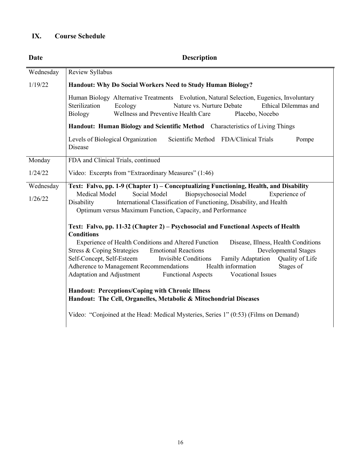# **IX. Course Schedule**

| Date      | <b>Description</b>                                                                                                                                                                                                                             |  |
|-----------|------------------------------------------------------------------------------------------------------------------------------------------------------------------------------------------------------------------------------------------------|--|
| Wednesday | Review Syllabus                                                                                                                                                                                                                                |  |
| 1/19/22   | Handout: Why Do Social Workers Need to Study Human Biology?                                                                                                                                                                                    |  |
|           | Human Biology Alternative Treatments Evolution, Natural Selection, Eugenics, Involuntary<br>Sterilization<br>Nature vs. Nurture Debate<br>Ethical Dilemmas and<br>Ecology<br>Wellness and Preventive Health Care<br>Biology<br>Placebo, Nocebo |  |
|           | Handout: Human Biology and Scientific Method Characteristics of Living Things                                                                                                                                                                  |  |
|           | Levels of Biological Organization<br>Scientific Method FDA/Clinical Trials<br>Pompe<br>Disease                                                                                                                                                 |  |
| Monday    | FDA and Clinical Trials, continued                                                                                                                                                                                                             |  |
| 1/24/22   | Video: Excerpts from "Extraordinary Measures" (1:46)                                                                                                                                                                                           |  |
| Wednesday | Text: Falvo, pp. 1-9 (Chapter 1) - Conceptualizing Functioning, Health, and Disability                                                                                                                                                         |  |
| 1/26/22   | Biopsychosocial Model<br>Medical Model<br>Social Model<br>Experience of<br>International Classification of Functioning, Disability, and Health<br>Disability<br>Optimum versus Maximum Function, Capacity, and Performance                     |  |
|           | Text: Falvo, pp. 11-32 (Chapter 2) – Psychosocial and Functional Aspects of Health<br><b>Conditions</b><br>Experience of Health Conditions and Altered Function<br>Disease, Illness, Health Conditions                                         |  |
|           | Stress & Coping Strategies<br><b>Emotional Reactions</b><br><b>Developmental Stages</b>                                                                                                                                                        |  |
|           | Self-Concept, Self-Esteem<br><b>Invisible Conditions</b><br><b>Family Adaptation</b><br>Quality of Life<br>Adherence to Management Recommendations<br>Health information<br>Stages of                                                          |  |
|           | Adaptation and Adjustment<br>Vocational Issues<br><b>Functional Aspects</b>                                                                                                                                                                    |  |
|           | <b>Handout: Perceptions/Coping with Chronic Illness</b><br>Handout: The Cell, Organelles, Metabolic & Mitochondrial Diseases<br>Video: "Conjoined at the Head: Medical Mysteries, Series 1" (0:53) (Films on Demand)                           |  |
|           |                                                                                                                                                                                                                                                |  |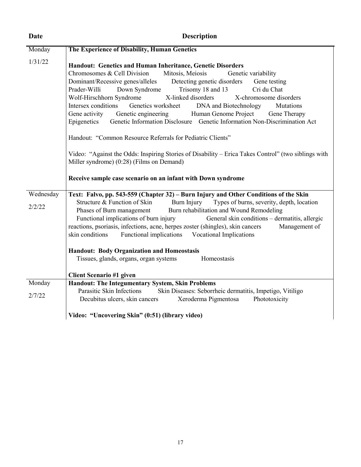| <b>Date</b>         | <b>Description</b>                                                                                                                                                                                                                                                                                                                                                                                                                                                                                                                                                                                                                                                                                                                                                                                                                                                                                                  |  |
|---------------------|---------------------------------------------------------------------------------------------------------------------------------------------------------------------------------------------------------------------------------------------------------------------------------------------------------------------------------------------------------------------------------------------------------------------------------------------------------------------------------------------------------------------------------------------------------------------------------------------------------------------------------------------------------------------------------------------------------------------------------------------------------------------------------------------------------------------------------------------------------------------------------------------------------------------|--|
| Monday              | The Experience of Disability, Human Genetics                                                                                                                                                                                                                                                                                                                                                                                                                                                                                                                                                                                                                                                                                                                                                                                                                                                                        |  |
| 1/31/22             | Handout: Genetics and Human Inheritance, Genetic Disorders<br>Chromosomes & Cell Division<br>Mitosis, Meiosis<br>Genetic variability<br>Dominant/Recessive genes/alleles<br>Detecting genetic disorders<br>Gene testing<br>Cri du Chat<br>Prader-Willi<br>Down Syndrome<br>Trisomy 18 and 13<br>X-linked disorders<br>Wolf-Hirschhorn Syndrome<br>X-chromosome disorders<br>Intersex conditions<br>Genetics worksheet<br>DNA and Biotechnology<br>Mutations<br>Gene activity Genetic engineering<br>Human Genome Project Gene Therapy<br>Genetic Information Disclosure Genetic Information Non-Discrimination Act<br>Epigenetics<br>Handout: "Common Resource Referrals for Pediatric Clients"<br>Video: "Against the Odds: Inspiring Stories of Disability – Erica Takes Control" (two siblings with<br>Miller syndrome) (0:28) (Films on Demand)<br>Receive sample case scenario on an infant with Down syndrome |  |
| Wednesday<br>2/2/22 | Text: Falvo, pp. 543-559 (Chapter 32) – Burn Injury and Other Conditions of the Skin<br>Structure & Function of Skin<br>Burn Injury<br>Types of burns, severity, depth, location<br>Phases of Burn management Burn rehabilitation and Wound Remodeling<br>Functional implications of burn injury<br>General skin conditions – dermatitis, allergic<br>reactions, psoriasis, infections, acne, herpes zoster (shingles), skin cancers<br>Management of<br>skin conditions<br>Functional implications<br>Vocational Implications<br><b>Handout: Body Organization and Homeostasis</b><br>Tissues, glands, organs, organ systems<br>Homeostasis<br><b>Client Scenario #1 given</b>                                                                                                                                                                                                                                     |  |
| Monday              | Handout: The Integumentary System, Skin Problems                                                                                                                                                                                                                                                                                                                                                                                                                                                                                                                                                                                                                                                                                                                                                                                                                                                                    |  |
| 2/7/22              | Parasitic Skin Infections<br>Skin Diseases: Seborrheic dermatitis, Impetigo, Vitiligo<br>Decubitus ulcers, skin cancers<br>Xeroderma Pigmentosa<br>Phototoxicity                                                                                                                                                                                                                                                                                                                                                                                                                                                                                                                                                                                                                                                                                                                                                    |  |
|                     | Video: "Uncovering Skin" (0:51) (library video)                                                                                                                                                                                                                                                                                                                                                                                                                                                                                                                                                                                                                                                                                                                                                                                                                                                                     |  |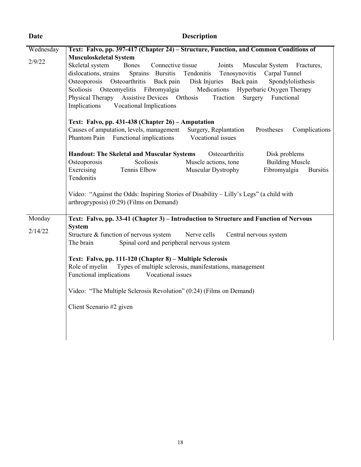| Date      | <b>Description</b>                                                                                                                                                                                                                                                                                                                                                                                                                                                                                                                           |
|-----------|----------------------------------------------------------------------------------------------------------------------------------------------------------------------------------------------------------------------------------------------------------------------------------------------------------------------------------------------------------------------------------------------------------------------------------------------------------------------------------------------------------------------------------------------|
| Wednesday | Text: Falvo, pp. 397-417 (Chapter 24) – Structure, Function, and Common Conditions of                                                                                                                                                                                                                                                                                                                                                                                                                                                        |
| 2/9/22    | <b>Musculoskeletal System</b><br>Skeletal system<br>Connective tissue<br>Bones<br>Joints<br>Muscular System<br>Fractures,<br>dislocations, strains<br>Sprains Bursitis<br>Tendonitis<br>Tenosynovitis<br>Carpal Tunnel<br>Osteoporosis Osteoarthritis<br>Back pain<br>Disk Injuries Back pain<br>Spondylolisthesis<br>Scoliosis Osteomyelitis Fibromyalgia<br>Medications<br>Hyperbaric Oxygen Therapy<br>Physical Therapy Assistive Devices Orthosis<br>Surgery<br>Functional<br>Traction<br>Implications<br><b>Vocational Implications</b> |
|           | Text: Falvo, pp. 431-438 (Chapter 26) - Amputation<br>Causes of amputation, levels, management<br>Surgery, Replantation<br>Prostheses<br>Complications<br>Phantom Pain Functional implications<br>Vocational issues                                                                                                                                                                                                                                                                                                                          |
|           | <b>Handout: The Skeletal and Muscular Systems</b><br>Osteoarthritis<br>Disk problems<br>Scoliosis<br>Muscle actions, tone<br><b>Building Muscle</b><br>Osteoporosis<br>Exercising<br>Tennis Elbow<br>Fibromyalgia<br>Muscular Dystrophy<br><b>Bursitis</b><br>Tendonitis                                                                                                                                                                                                                                                                     |
|           | Video: "Against the Odds: Inspiring Stories of Disability – Lilly's Legs" (a child with<br>arthrogryposis) (0:29) (Films on Demand)                                                                                                                                                                                                                                                                                                                                                                                                          |
| Monday    | Text: Falvo, pp. 33-41 (Chapter 3) – Introduction to Structure and Function of Nervous                                                                                                                                                                                                                                                                                                                                                                                                                                                       |
| 2/14/22   | <b>System</b><br>Structure & function of nervous system<br>Nerve cells<br>Central nervous system<br>Spinal cord and peripheral nervous system<br>The brain<br>Text: Falvo, pp. 111-120 (Chapter 8) – Multiple Sclerosis<br>Types of multiple sclerosis, manifestations, management<br>Role of myelin                                                                                                                                                                                                                                         |
|           | Functional implications<br>Vocational issues                                                                                                                                                                                                                                                                                                                                                                                                                                                                                                 |
|           | Video: "The Multiple Sclerosis Revolution" (0:24) (Films on Demand)                                                                                                                                                                                                                                                                                                                                                                                                                                                                          |
|           | Client Scenario #2 given                                                                                                                                                                                                                                                                                                                                                                                                                                                                                                                     |
|           |                                                                                                                                                                                                                                                                                                                                                                                                                                                                                                                                              |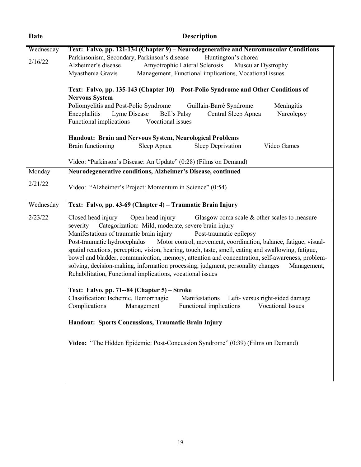| <b>Description</b>                                                                                                                                                                                                                                                                                                                                                                                                                                                                                                                                                                                                                                                                                           |
|--------------------------------------------------------------------------------------------------------------------------------------------------------------------------------------------------------------------------------------------------------------------------------------------------------------------------------------------------------------------------------------------------------------------------------------------------------------------------------------------------------------------------------------------------------------------------------------------------------------------------------------------------------------------------------------------------------------|
| Text: Falvo, pp. 121-134 (Chapter 9) - Neurodegenerative and Neuromuscular Conditions<br>Parkinsonism, Secondary, Parkinson's disease<br>Huntington's chorea<br>Amyotrophic Lateral Sclerosis Muscular Dystrophy<br>Alzheimer's disease<br>Management, Functional implications, Vocational issues<br>Myasthenia Gravis                                                                                                                                                                                                                                                                                                                                                                                       |
| Text: Falvo, pp. 135-143 (Chapter 10) - Post-Polio Syndrome and Other Conditions of<br><b>Nervous System</b><br>Poliomyelitis and Post-Polio Syndrome<br>Guillain-Barré Syndrome<br>Meningitis<br>Encephalitis<br>Lyme Disease<br>Bell's Palsy<br>Central Sleep Apnea<br>Narcolepsy<br>Functional implications<br>Vocational issues                                                                                                                                                                                                                                                                                                                                                                          |
| Handout: Brain and Nervous System, Neurological Problems                                                                                                                                                                                                                                                                                                                                                                                                                                                                                                                                                                                                                                                     |
| Video Games<br>Brain functioning<br>Sleep Apnea<br>Sleep Deprivation                                                                                                                                                                                                                                                                                                                                                                                                                                                                                                                                                                                                                                         |
| Video: "Parkinson's Disease: An Update" (0:28) (Films on Demand)                                                                                                                                                                                                                                                                                                                                                                                                                                                                                                                                                                                                                                             |
| Neurodegenerative conditions, Alzheimer's Disease, continued                                                                                                                                                                                                                                                                                                                                                                                                                                                                                                                                                                                                                                                 |
| Video: "Alzheimer's Project: Momentum in Science" (0:54)                                                                                                                                                                                                                                                                                                                                                                                                                                                                                                                                                                                                                                                     |
| Text: Falvo, pp. 43-69 (Chapter 4) – Traumatic Brain Injury                                                                                                                                                                                                                                                                                                                                                                                                                                                                                                                                                                                                                                                  |
| Closed head injury<br>Open head injury<br>Glasgow coma scale & other scales to measure<br>Categorization: Mild, moderate, severe brain injury<br>severity<br>Manifestations of traumatic brain injury<br>Post-traumatic epilepsy<br>Post-traumatic hydrocephalus Motor control, movement, coordination, balance, fatigue, visual-<br>spatial reactions, perception, vision, hearing, touch, taste, smell, eating and swallowing, fatigue,<br>bowel and bladder, communication, memory, attention and concentration, self-awareness, problem-<br>solving, decision-making, information processing, judgment, personality changes<br>Management,<br>Rehabilitation, Functional implications, vocational issues |
| Text: Falvo, pp. 71--84 (Chapter 5) – Stroke<br>Classification: Ischemic, Hemorrhagic Manifestations Left- versus right-sided damage<br>Complications<br>Functional implications<br>Vocational Issues<br>Management                                                                                                                                                                                                                                                                                                                                                                                                                                                                                          |
| Handout: Sports Concussions, Traumatic Brain Injury                                                                                                                                                                                                                                                                                                                                                                                                                                                                                                                                                                                                                                                          |
| Video: "The Hidden Epidemic: Post-Concussion Syndrome" (0:39) (Films on Demand)                                                                                                                                                                                                                                                                                                                                                                                                                                                                                                                                                                                                                              |
|                                                                                                                                                                                                                                                                                                                                                                                                                                                                                                                                                                                                                                                                                                              |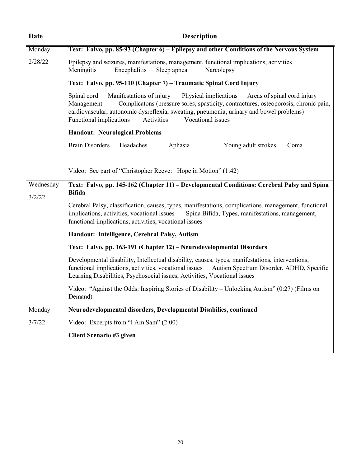| Date                | <b>Description</b>                                                                                                                                                                                                                                                                                                                                            |
|---------------------|---------------------------------------------------------------------------------------------------------------------------------------------------------------------------------------------------------------------------------------------------------------------------------------------------------------------------------------------------------------|
| Monday              | Text: Falvo, pp. 85-93 (Chapter 6) – Epilepsy and other Conditions of the Nervous System                                                                                                                                                                                                                                                                      |
| 2/28/22             | Epilepsy and seizures, manifestations, management, functional implications, activities<br>Meningitis<br>Encephalitis<br>Sleep apnea<br>Narcolepsy                                                                                                                                                                                                             |
|                     | Text: Falvo, pp. 95-110 (Chapter 7) – Traumatic Spinal Cord Injury                                                                                                                                                                                                                                                                                            |
|                     | Manifestations of injury<br>Physical implications<br>Areas of spinal cord injury<br>Spinal cord<br>Complicatons (pressure sores, spasticity, contractures, osteoporosis, chronic pain,<br>Management<br>cardiovascular, autonomic dysreflexia, sweating, pneumonia, urinary and bowel problems)<br>Vocational issues<br>Functional implications<br>Activities |
|                     | <b>Handout: Neurological Problems</b>                                                                                                                                                                                                                                                                                                                         |
|                     | <b>Brain Disorders</b><br>Headaches<br>Aphasia<br>Young adult strokes<br>Coma                                                                                                                                                                                                                                                                                 |
|                     | Video: See part of "Christopher Reeve: Hope in Motion" (1:42)                                                                                                                                                                                                                                                                                                 |
| Wednesday<br>3/2/22 | Text: Falvo, pp. 145-162 (Chapter 11) – Developmental Conditions: Cerebral Palsy and Spina<br><b>Bifida</b>                                                                                                                                                                                                                                                   |
|                     | Cerebral Palsy, classification, causes, types, manifestations, complications, management, functional<br>implications, activities, vocational issues<br>Spina Bifida, Types, manifestations, management,<br>functional implications, activities, vocational issues                                                                                             |
|                     | Handout: Intelligence, Cerebral Palsy, Autism                                                                                                                                                                                                                                                                                                                 |
|                     | Text: Falvo, pp. 163-191 (Chapter 12) – Neurodevelopmental Disorders                                                                                                                                                                                                                                                                                          |
|                     | Developmental disability, Intellectual disability, causes, types, manifestations, interventions,<br>functional implications, activities, vocational issues<br>Autism Spectrum Disorder, ADHD, Specific<br>Learning Disabilities, Psychosocial issues, Activities, Vocational issues                                                                           |
|                     | Video: "Against the Odds: Inspiring Stories of Disability - Unlocking Autism" (0:27) (Films on<br>Demand)                                                                                                                                                                                                                                                     |
| Monday              | Neurodevelopmental disorders, Developmental Disabilies, continued                                                                                                                                                                                                                                                                                             |
| 3/7/22              | Video: Excerpts from "I Am Sam" (2:00)                                                                                                                                                                                                                                                                                                                        |
|                     | Client Scenario #3 given                                                                                                                                                                                                                                                                                                                                      |
|                     |                                                                                                                                                                                                                                                                                                                                                               |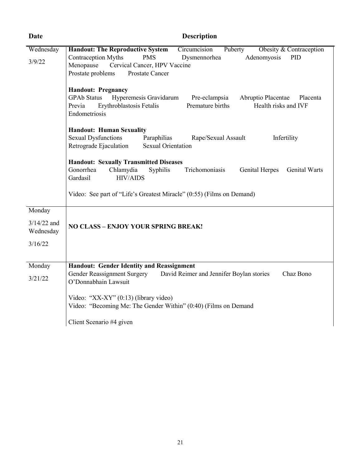| Date                                            | <b>Description</b>                                                                                                                                                                                                                                                   |  |  |
|-------------------------------------------------|----------------------------------------------------------------------------------------------------------------------------------------------------------------------------------------------------------------------------------------------------------------------|--|--|
| Wednesday<br>3/9/22                             | <b>Handout: The Reproductive System</b><br>Obesity & Contraception<br>Circumcision<br>Puberty<br><b>Contraception Myths</b><br><b>PMS</b><br>Dysmennorhea<br>Adenomyosis<br>PID<br>Menopause<br>Cervical Cancer, HPV Vaccine<br>Prostate problems<br>Prostate Cancer |  |  |
|                                                 | <b>Handout: Pregnancy</b><br><b>GPAb Status</b><br>Hyperemesis Gravidarum<br>Pre-eclampsia<br>Abruptio Placentae<br>Placenta<br>Erythroblastosis Fetalis<br>Premature births<br>Health risks and IVF<br>Previa<br>Endometriosis                                      |  |  |
|                                                 | <b>Handout: Human Sexuality</b><br><b>Sexual Dysfunctions</b><br>Paraphilias<br>Rape/Sexual Assault<br>Infertility<br><b>Sexual Orientation</b><br>Retrograde Ejaculation                                                                                            |  |  |
|                                                 | <b>Handout: Sexually Transmitted Diseases</b><br>Gonorrhea<br>Chlamydia<br>Trichomoniasis<br>Syphilis<br>Genital Herpes<br>Genital Warts<br>Gardasil<br><b>HIV/AIDS</b>                                                                                              |  |  |
|                                                 | Video: See part of "Life's Greatest Miracle" (0:55) (Films on Demand)                                                                                                                                                                                                |  |  |
| Monday<br>$3/14/22$ and<br>Wednesday<br>3/16/22 | <b>NO CLASS - ENJOY YOUR SPRING BREAK!</b>                                                                                                                                                                                                                           |  |  |
| Monday<br>3/21/22                               | <b>Handout: Gender Identity and Reassignment</b><br>Gender Reassignment Surgery<br>Chaz Bono<br>David Reimer and Jennifer Boylan stories<br>O'Donnabhain Lawsuit                                                                                                     |  |  |
|                                                 | Video: "XX-XY" (0:13) (library video)<br>Video: "Becoming Me: The Gender Within" (0:40) (Films on Demand                                                                                                                                                             |  |  |
|                                                 | Client Scenario #4 given                                                                                                                                                                                                                                             |  |  |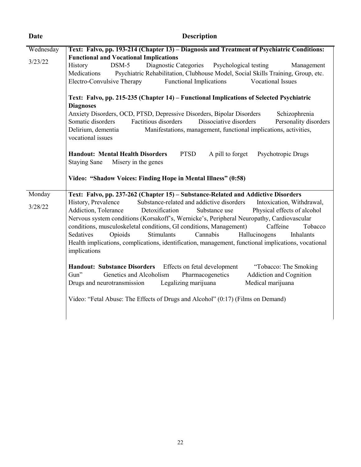| Date      | <b>Description</b>                                                                                                                                                                                                                                                                                                                                                                                                                                                                                                                                                                                                                      |  |  |  |  |
|-----------|-----------------------------------------------------------------------------------------------------------------------------------------------------------------------------------------------------------------------------------------------------------------------------------------------------------------------------------------------------------------------------------------------------------------------------------------------------------------------------------------------------------------------------------------------------------------------------------------------------------------------------------------|--|--|--|--|
| Wednesday | Text: Falvo, pp. 193-214 (Chapter 13) – Diagnosis and Treatment of Psychiatric Conditions:                                                                                                                                                                                                                                                                                                                                                                                                                                                                                                                                              |  |  |  |  |
| 3/23/22   | <b>Functional and Vocational Implications</b><br>Diagnostic Categories<br>History<br>$DSM-5$<br>Psychological testing<br>Management<br>Psychiatric Rehabilitation, Clubhouse Model, Social Skills Training, Group, etc.<br>Medications<br>Electro-Convulsive Therapy<br><b>Functional Implications</b><br>Vocational Issues                                                                                                                                                                                                                                                                                                             |  |  |  |  |
|           | Text: Falvo, pp. 215-235 (Chapter 14) - Functional Implications of Selected Psychiatric<br><b>Diagnoses</b><br>Anxiety Disorders, OCD, PTSD, Depressive Disorders, Bipolar Disorders<br>Schizophrenia<br>Factitious disorders<br>Dissociative disorders<br>Somatic disorders<br>Personality disorders<br>Delirium, dementia<br>Manifestations, management, functional implications, activities,<br>vocational issues<br><b>Handout: Mental Health Disorders</b><br><b>PTSD</b><br>A pill to forget<br>Psychotropic Drugs<br><b>Staying Sane</b><br>Misery in the genes<br>Video: "Shadow Voices: Finding Hope in Mental Illness" (0:58) |  |  |  |  |
| Monday    | Text: Falvo, pp. 237-262 (Chapter 15) - Substance-Related and Addictive Disorders                                                                                                                                                                                                                                                                                                                                                                                                                                                                                                                                                       |  |  |  |  |
| 3/28/22   | Substance-related and addictive disorders<br>History, Prevalence<br>Intoxication, Withdrawal,<br>Addiction, Tolerance<br>Detoxification<br>Substance use<br>Physical effects of alcohol<br>Nervous system conditions (Korsakoff's, Wernicke's, Peripheral Neuropathy, Cardiovascular<br>conditions, musculoskeletal conditions, GI conditions, Management)<br>Caffeine<br>Tobacco<br>Stimulants<br>Cannabis<br>Sedatives<br>Opioids<br>Hallucinogens<br>Inhalants<br>Health implications, complications, identification, management, functional implications, vocational<br>implications                                                |  |  |  |  |
|           | Handout: Substance Disorders Effects on fetal development<br>"Tobacco: The Smoking<br>Genetics and Alcoholism<br>Addiction and Cognition<br>Gun"<br>Pharmacogenetics<br>Legalizing marijuana<br>Medical marijuana<br>Drugs and neurotransmission                                                                                                                                                                                                                                                                                                                                                                                        |  |  |  |  |
|           | Video: "Fetal Abuse: The Effects of Drugs and Alcohol" (0:17) (Films on Demand)                                                                                                                                                                                                                                                                                                                                                                                                                                                                                                                                                         |  |  |  |  |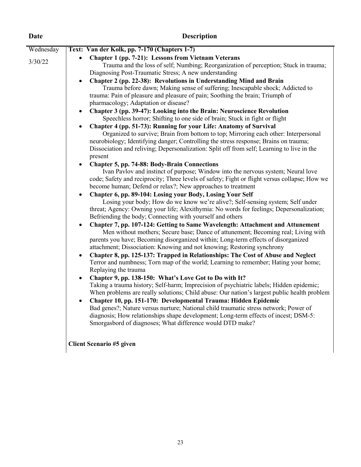| Wednesday<br>Text: Van der Kolk, pp. 7-170 (Chapters 1-7)<br>Chapter 1 (pp. 7-21): Lessons from Vietnam Veterans<br>3/30/22<br>Trauma and the loss of self; Numbing; Reorganization of perception; Stuck in trauma;<br>Diagnosing Post-Traumatic Stress; A new understanding<br>Chapter 2 (pp. 22-38): Revolutions in Understanding Mind and Brain<br>Trauma before dawn; Making sense of suffering; Inescapable shock; Addicted to<br>trauma: Pain of pleasure and pleasure of pain; Soothing the brain; Triumph of<br>pharmacology; Adaptation or disease?<br>Chapter 3 (pp. 39-47): Looking into the Brain: Neuroscience Revolution<br>Speechless horror; Shifting to one side of brain; Stuck in fight or flight<br>Chapter 4 (pp. 51-73): Running for your Life: Anatomy of Survival<br>Organized to survive; Brain from bottom to top; Mirroring each other: Interpersonal<br>neurobiology; Identifying danger; Controlling the stress response; Brains on trauma;<br>Dissociation and reliving; Depersonalization: Split off from self; Learning to live in the<br>present<br><b>Chapter 5, pp. 74-88: Body-Brain Connections</b><br>$\bullet$<br>Ivan Pavlov and instinct of purpose; Window into the nervous system; Neural love<br>become human; Defend or relax?; New approaches to treatment<br>Chapter 6, pp. 89-104: Losing your Body, Losing Your Self<br>$\bullet$<br>Losing your body; How do we know we're alive?; Self-sensing system; Self under<br>threat; Agency: Owning your life; Alexithymia: No words for feelings; Depersonalization;<br>Befriending the body; Connecting with yourself and others<br>Chapter 7, pp. 107-124: Getting to Same Wavelength: Attachment and Attunement<br>$\bullet$<br>Men without mothers; Secure base; Dance of attunement; Becoming real; Living with<br>parents you have; Becoming disorganized within; Long-term effects of disorganized<br>attachment; Dissociation: Knowing and not knowing; Restoring synchrony<br>Chapter 8, pp. 125-137: Trapped in Relationships: The Cost of Abuse and Neglect<br>$\bullet$<br>Terror and numbness; Torn map of the world; Learning to remember; Hating your home;<br>Replaying the trauma<br>$\bullet$ | <b>Date</b> | <b>Description</b>                                                                                                                                                                                                                                     |
|-------------------------------------------------------------------------------------------------------------------------------------------------------------------------------------------------------------------------------------------------------------------------------------------------------------------------------------------------------------------------------------------------------------------------------------------------------------------------------------------------------------------------------------------------------------------------------------------------------------------------------------------------------------------------------------------------------------------------------------------------------------------------------------------------------------------------------------------------------------------------------------------------------------------------------------------------------------------------------------------------------------------------------------------------------------------------------------------------------------------------------------------------------------------------------------------------------------------------------------------------------------------------------------------------------------------------------------------------------------------------------------------------------------------------------------------------------------------------------------------------------------------------------------------------------------------------------------------------------------------------------------------------------------------------------------------------------------------------------------------------------------------------------------------------------------------------------------------------------------------------------------------------------------------------------------------------------------------------------------------------------------------------------------------------------------------------------------------------------------------------------------------------------------------------------------------------------------|-------------|--------------------------------------------------------------------------------------------------------------------------------------------------------------------------------------------------------------------------------------------------------|
|                                                                                                                                                                                                                                                                                                                                                                                                                                                                                                                                                                                                                                                                                                                                                                                                                                                                                                                                                                                                                                                                                                                                                                                                                                                                                                                                                                                                                                                                                                                                                                                                                                                                                                                                                                                                                                                                                                                                                                                                                                                                                                                                                                                                             |             |                                                                                                                                                                                                                                                        |
| Taking a trauma history; Self-harm; Imprecision of psychiatric labels; Hidden epidemic;<br>Chapter 10, pp. 151-170: Developmental Trauma: Hidden Epidemic<br>Bad genes?; Nature versus nurture; National child traumatic stress network; Power of<br>diagnosis; How relationships shape development; Long-term effects of incest; DSM-5:<br>Smorgasbord of diagnoses; What difference would DTD make?                                                                                                                                                                                                                                                                                                                                                                                                                                                                                                                                                                                                                                                                                                                                                                                                                                                                                                                                                                                                                                                                                                                                                                                                                                                                                                                                                                                                                                                                                                                                                                                                                                                                                                                                                                                                       |             | code; Safety and reciprocity; Three levels of safety; Fight or flight versus collapse; How we<br>Chapter 9, pp. 138-150: What's Love Got to Do with It?<br>When problems are really solutions; Child abuse: Our nation's largest public health problem |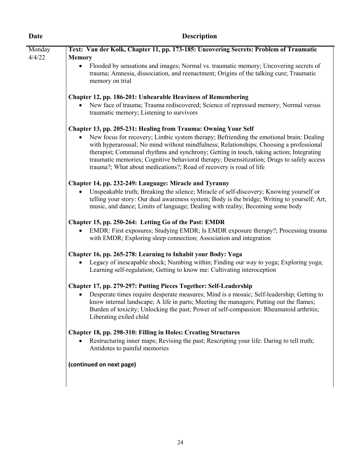| Date   | <b>Description</b>                                                                                                                                                                                                                                                                                                                                                                                                                                           |  |  |  |
|--------|--------------------------------------------------------------------------------------------------------------------------------------------------------------------------------------------------------------------------------------------------------------------------------------------------------------------------------------------------------------------------------------------------------------------------------------------------------------|--|--|--|
| Monday | Text: Van der Kolk, Chapter 11, pp. 173-185: Uncovering Secrets: Problem of Traumatic                                                                                                                                                                                                                                                                                                                                                                        |  |  |  |
| 4/4/22 | <b>Memory</b><br>Flooded by sensations and images; Normal vs. traumatic memory; Uncovering secrets of<br>trauma; Amnesia, dissociation, and reenactment; Origins of the talking cure; Traumatic<br>memory on trial                                                                                                                                                                                                                                           |  |  |  |
|        | <b>Chapter 12, pp. 186-201: Unbearable Heaviness of Remembering</b>                                                                                                                                                                                                                                                                                                                                                                                          |  |  |  |
|        | New face of trauma; Trauma rediscovered; Science of repressed memory; Normal versus<br>traumatic memory; Listening to survivors                                                                                                                                                                                                                                                                                                                              |  |  |  |
|        | Chapter 13, pp. 205-231: Healing from Trauma: Owning Your Self                                                                                                                                                                                                                                                                                                                                                                                               |  |  |  |
|        | New focus for recovery; Limbic system therapy; Befriending the emotional brain: Dealing<br>$\bullet$<br>with hyperarousal; No mind without mindfulness; Relationships; Choosing a professional<br>therapist; Communal rhythms and synchrony; Getting in touch, taking action; Integrating<br>traumatic memories; Cognitive behavioral therapy; Desensitization; Drugs to safely access<br>trauma?; What about medications?; Road of recovery is road of life |  |  |  |
|        | Chapter 14, pp. 232-249: Language: Miracle and Tyranny                                                                                                                                                                                                                                                                                                                                                                                                       |  |  |  |
|        | Unspeakable truth; Breaking the silence; Miracle of self-discovery; Knowing yourself or<br>telling your story: Our dual awareness system; Body is the bridge; Writing to yourself; Art,<br>music, and dance; Limits of language; Dealing with reality; Becoming some body                                                                                                                                                                                    |  |  |  |
|        | Chapter 15, pp. 250-264: Letting Go of the Past: EMDR                                                                                                                                                                                                                                                                                                                                                                                                        |  |  |  |
|        | EMDR: First exposures; Studying EMDR; Is EMDR exposure therapy?; Processing trauma<br>$\bullet$<br>with EMDR; Exploring sleep connection; Association and integration                                                                                                                                                                                                                                                                                        |  |  |  |
|        | Chapter 16, pp. 265-278: Learning to Inhabit your Body: Yoga                                                                                                                                                                                                                                                                                                                                                                                                 |  |  |  |
|        | Legacy of inescapable shock; Numbing within; Finding our way to yoga; Exploring yoga;<br>Learning self-regulation; Getting to know me: Cultivating interoception                                                                                                                                                                                                                                                                                             |  |  |  |
|        | Chapter 17, pp. 279-297: Putting Pieces Together: Self-Leadership<br>Desperate times require desperate measures; Mind is a mosaic; Self-leadership; Getting to<br>know internal landscape; A life in parts; Meeting the managers; Putting out the flames;<br>Burden of toxicity; Unlocking the past; Power of self-compassion: Rheumatoid arthritis;<br>Liberating exiled child                                                                              |  |  |  |
|        | Chapter 18, pp. 298-310: Filling in Holes: Creating Structures<br>Restructuring inner maps; Revising the past; Rescripting your life: Daring to tell truth;<br>Antidotes to painful memories                                                                                                                                                                                                                                                                 |  |  |  |
|        | (continued on next page)                                                                                                                                                                                                                                                                                                                                                                                                                                     |  |  |  |
|        |                                                                                                                                                                                                                                                                                                                                                                                                                                                              |  |  |  |
|        |                                                                                                                                                                                                                                                                                                                                                                                                                                                              |  |  |  |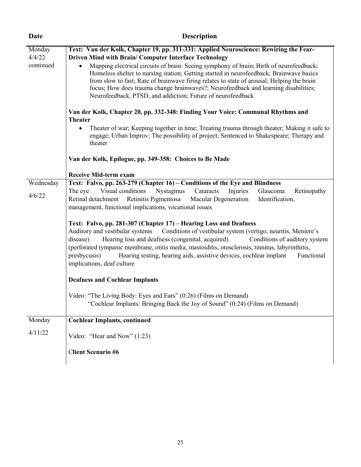| Date      | <b>Description</b>                                                                                                                                                                |  |  |  |  |  |
|-----------|-----------------------------------------------------------------------------------------------------------------------------------------------------------------------------------|--|--|--|--|--|
| Monday    | Text: Van der Kolk, Chapter 19, pp. 311-331: Applied Neuroscience: Rewiring the Fear-                                                                                             |  |  |  |  |  |
| 4/4/22    | Driven Mind with Brain/ Computer Interface Technology                                                                                                                             |  |  |  |  |  |
| continued | Mapping electrical circuits of brain: Seeing symphony of brain; Birth of neurofeedback;                                                                                           |  |  |  |  |  |
|           | Homeless shelter to nursing station; Getting started in neurofeedback; Brainwave basics                                                                                           |  |  |  |  |  |
|           | from slow to fast; Rate of brainwave firing relates to state of arousal; Helping the brain<br>focus; How does trauma change brainwaves?; Neurofeedback and learning disabilities; |  |  |  |  |  |
|           | Neurofeedback, PTSD, and addiction; Future of neurofeedback                                                                                                                       |  |  |  |  |  |
|           |                                                                                                                                                                                   |  |  |  |  |  |
|           | Van der Kolk, Chapter 20, pp. 332-348: Finding Your Voice: Communal Rhythms and                                                                                                   |  |  |  |  |  |
|           | <b>Theater</b>                                                                                                                                                                    |  |  |  |  |  |
|           | Theater of war; Keeping together in time; Treating trauma through theater; Making it safe to                                                                                      |  |  |  |  |  |
|           | engage; Urban Improv; The possibility of project; Sentenced to Shakespeare; Therapy and<br>theater                                                                                |  |  |  |  |  |
|           |                                                                                                                                                                                   |  |  |  |  |  |
|           | Van der Kolk, Epilogue, pp. 349-358: Choices to Be Made                                                                                                                           |  |  |  |  |  |
|           | <b>Receive Mid-term exam</b>                                                                                                                                                      |  |  |  |  |  |
| Wednesday | Text: Falvo, pp. 263-279 (Chapter 16) – Conditions of the Eye and Blindness                                                                                                       |  |  |  |  |  |
|           | Visual conditions<br>The eye<br>Nystagmus<br>Cataracts<br>Injuries<br>Glaucoma<br>Retinopathy                                                                                     |  |  |  |  |  |
| 4/6/22    | Identification,<br>Retinal detachment Retinitis Pigmentosa<br><b>Macular Degeneration</b>                                                                                         |  |  |  |  |  |
|           | management, functional implications, vocational issues                                                                                                                            |  |  |  |  |  |
|           | Text: Falvo, pp. 281-307 (Chapter 17) – Hearing Loss and Deafness                                                                                                                 |  |  |  |  |  |
|           | Conditions of vestibular system (vertigo, neuritis, Meniere's<br>Auditory and vestibular systems                                                                                  |  |  |  |  |  |
|           | Hearing loss and deafness (congenital, acquired)<br>Conditions of auditory system<br>disease)                                                                                     |  |  |  |  |  |
|           | (perforated tympanic membrane, otitis media, mastoiditis, otosclerosis, tinnitus, labyrinthitis,                                                                                  |  |  |  |  |  |
|           | presbycusis)<br>Hearing testing, hearing aids, assistive devices, cochlear implant<br>Functional                                                                                  |  |  |  |  |  |
|           | implications, deaf culture                                                                                                                                                        |  |  |  |  |  |
|           | <b>Deafness and Cochlear Implants</b>                                                                                                                                             |  |  |  |  |  |
|           | Video: "The Living Body: Eyes and Ears" (0:26) (Films on Demand)                                                                                                                  |  |  |  |  |  |
|           | "Cochlear Implants: Bringing Back the Joy of Sound" (0:24) (Films on Demand)                                                                                                      |  |  |  |  |  |
|           |                                                                                                                                                                                   |  |  |  |  |  |
| Monday    | <b>Cochlear Implants, continued</b>                                                                                                                                               |  |  |  |  |  |
| 4/11/22   | Video: "Hear and Now" (1:23)                                                                                                                                                      |  |  |  |  |  |
|           |                                                                                                                                                                                   |  |  |  |  |  |
|           | <b>Client Scenario #6</b>                                                                                                                                                         |  |  |  |  |  |
|           |                                                                                                                                                                                   |  |  |  |  |  |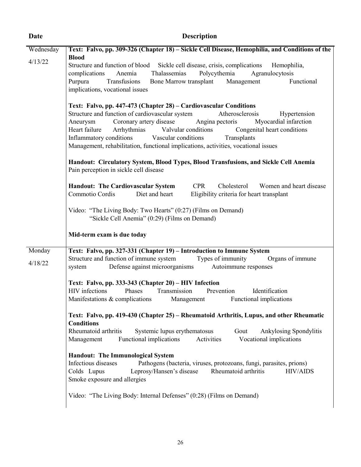| Date              | <b>Description</b>                                                                                                                                                                                                                                                                                                                                                                                                                                                             |  |  |  |  |
|-------------------|--------------------------------------------------------------------------------------------------------------------------------------------------------------------------------------------------------------------------------------------------------------------------------------------------------------------------------------------------------------------------------------------------------------------------------------------------------------------------------|--|--|--|--|
| Wednesday         | Text: Falvo, pp. 309-326 (Chapter 18) – Sickle Cell Disease, Hemophilia, and Conditions of the                                                                                                                                                                                                                                                                                                                                                                                 |  |  |  |  |
| 4/13/22           | <b>Blood</b><br>Structure and function of blood Sickle cell disease, crisis, complications Hemophilia,<br>Polycythemia<br>Anemia<br>Thalassemias<br>Agranulocytosis<br>complications<br>Purpura<br>Transfusions Bone Marrow transplant Management<br>Functional<br>implications, vocational issues                                                                                                                                                                             |  |  |  |  |
|                   | Text: Falvo, pp. 447-473 (Chapter 28) – Cardiovascular Conditions<br>Structure and function of cardiovascular system<br>Atherosclerosis<br>Hypertension<br>Coronary artery disease Angina pectoris<br>Myocardial infarction<br>Aneurysm<br>Heart failure<br>Arrhythmias Valvular conditions Congenital heart conditions<br>Inflammatory conditions<br>Vascular conditions<br>Transplants<br>Management, rehabilitation, functional implications, activities, vocational issues |  |  |  |  |
|                   | Handout: Circulatory System, Blood Types, Blood Transfusions, and Sickle Cell Anemia<br>Pain perception in sickle cell disease                                                                                                                                                                                                                                                                                                                                                 |  |  |  |  |
|                   | <b>Handout: The Cardiovascular System CPR</b><br>Cholesterol Women and heart disease<br>Commotio Cordis<br>Diet and heart<br>Eligibility criteria for heart transplant                                                                                                                                                                                                                                                                                                         |  |  |  |  |
|                   | Video: "The Living Body: Two Hearts" (0:27) (Films on Demand)<br>"Sickle Cell Anemia" (0:29) (Films on Demand)                                                                                                                                                                                                                                                                                                                                                                 |  |  |  |  |
|                   | Mid-term exam is due today                                                                                                                                                                                                                                                                                                                                                                                                                                                     |  |  |  |  |
| Monday<br>4/18/22 | Text: Falvo, pp. 327-331 (Chapter 19) – Introduction to Immune System<br>Structure and function of immune system Types of immunity Organs of immune<br>Defense against microorganisms Autoimmune responses<br>system                                                                                                                                                                                                                                                           |  |  |  |  |
|                   | Text: Falvo, pp. 333-343 (Chapter 20) – HIV Infection<br>Identification<br>HIV infections<br>Phases Transmission Prevention<br>Manifestations & complications Management Functional implications                                                                                                                                                                                                                                                                               |  |  |  |  |
|                   | Text: Falvo, pp. 419-430 (Chapter 25) – Rheumatoid Arthritis, Lupus, and other Rheumatic<br><b>Conditions</b><br>Rheumatoid arthritis<br>Systemic lupus erythematosus<br>Gout<br>Ankylosing Spondylitis<br>Functional implications<br>Vocational implications<br>Activities<br>Management                                                                                                                                                                                      |  |  |  |  |
|                   | <b>Handout: The Immunological System</b><br>Infectious diseases<br>Pathogens (bacteria, viruses, protozoans, fungi, parasites, prions)<br>Colds Lupus<br>Leprosy/Hansen's disease<br>Rheumatoid arthritis<br><b>HIV/AIDS</b><br>Smoke exposure and allergies                                                                                                                                                                                                                   |  |  |  |  |
|                   | Video: "The Living Body: Internal Defenses" (0:28) (Films on Demand)                                                                                                                                                                                                                                                                                                                                                                                                           |  |  |  |  |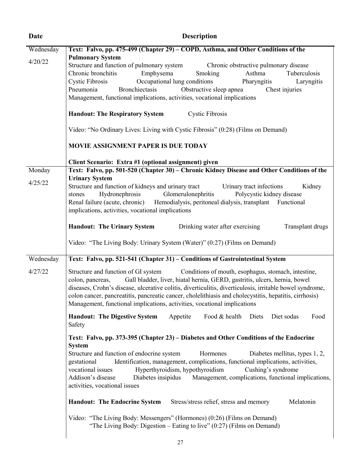| Date              | <b>Description</b><br>Text: Falvo, pp. 475-499 (Chapter 29) – COPD, Asthma, and Other Conditions of the                                                                                                                                                                                                                                                                                                                                                                                                                                                                                                                                                                                                                                                                        |  |  |  |  |
|-------------------|--------------------------------------------------------------------------------------------------------------------------------------------------------------------------------------------------------------------------------------------------------------------------------------------------------------------------------------------------------------------------------------------------------------------------------------------------------------------------------------------------------------------------------------------------------------------------------------------------------------------------------------------------------------------------------------------------------------------------------------------------------------------------------|--|--|--|--|
| Wednesday         |                                                                                                                                                                                                                                                                                                                                                                                                                                                                                                                                                                                                                                                                                                                                                                                |  |  |  |  |
| 4/20/22           | <b>Pulmonary System</b><br>Structure and function of pulmonary system<br>Chronic obstructive pulmonary disease<br>Chronic bronchitis<br>Emphysema<br>Asthma<br>Smoking<br>Tuberculosis<br>Occupational lung conditions<br><b>Cystic Fibrosis</b><br>Pharyngitis<br>Laryngitis<br>Obstructive sleep apnea<br>Pneumonia<br>Bronchiectasis<br>Chest injuries<br>Management, functional implications, activities, vocational implications                                                                                                                                                                                                                                                                                                                                          |  |  |  |  |
|                   | <b>Handout: The Respiratory System</b><br><b>Cystic Fibrosis</b>                                                                                                                                                                                                                                                                                                                                                                                                                                                                                                                                                                                                                                                                                                               |  |  |  |  |
|                   | Video: "No Ordinary Lives: Living with Cystic Fibrosis" (0:28) (Films on Demand)                                                                                                                                                                                                                                                                                                                                                                                                                                                                                                                                                                                                                                                                                               |  |  |  |  |
|                   | <b>MOVIE ASSIGNMENT PAPER IS DUE TODAY</b>                                                                                                                                                                                                                                                                                                                                                                                                                                                                                                                                                                                                                                                                                                                                     |  |  |  |  |
| Monday<br>4/25/22 | Client Scenario: Extra #1 (optional assignment) given<br>Text: Falvo, pp. 501-520 (Chapter 30) - Chronic Kidney Disease and Other Conditions of the<br><b>Urinary System</b><br>Structure and function of kidneys and urinary tract<br>Urinary tract infections<br>Kidney<br>Hydronephrosis Glomerulonephritis<br>Polycystic kidney disease<br>stones<br>Renal failure (acute, chronic) Hemodialysis, peritoneal dialysis, transplant Functional<br>implications, activities, vocational implications                                                                                                                                                                                                                                                                          |  |  |  |  |
|                   | Drinking water after exercising<br><b>Handout: The Urinary System</b><br>Transplant drugs                                                                                                                                                                                                                                                                                                                                                                                                                                                                                                                                                                                                                                                                                      |  |  |  |  |
|                   | Video: "The Living Body: Urinary System (Water)" (0:27) (Films on Demand)                                                                                                                                                                                                                                                                                                                                                                                                                                                                                                                                                                                                                                                                                                      |  |  |  |  |
| Wednesday         | Text: Falvo, pp. 521-541 (Chapter 31) – Conditions of Gastrointestinal System                                                                                                                                                                                                                                                                                                                                                                                                                                                                                                                                                                                                                                                                                                  |  |  |  |  |
| 4/27/22           | Structure and function of GI system<br>Conditions of mouth, esophagus, stomach, intestine,<br>Gall bladder, liver, hiatal hernia, GERD, gastritis, ulcers, hernia, bowel<br>colon, pancreas,<br>diseases, Crohn's disease, ulcerative colitis, diverticulitis, diverticulosis, irritable bowel syndrome,<br>colon cancer, pancreatitis, pancreatic cancer, cholelithiasis and cholecystitis, hepatitis, cirrhosis)<br>Management, functional implications, activities, vocational implications                                                                                                                                                                                                                                                                                 |  |  |  |  |
|                   | <b>Handout: The Digestive System</b><br>Appetite<br>Food & health Diets<br>Diet sodas<br>Food<br>Safety                                                                                                                                                                                                                                                                                                                                                                                                                                                                                                                                                                                                                                                                        |  |  |  |  |
|                   | Text: Falvo, pp. 373-395 (Chapter 23) – Diabetes and Other Conditions of the Endocrine<br><b>System</b><br>Structure and function of endocrine system<br>Hormones<br>Diabetes mellitus, types 1, 2,<br>Identification, management, complications, functional implications, activities,<br>gestational<br>Hyperthyroidism, hypothyroidism<br>vocational issues<br>Cushing's syndrome<br>Addison's disease<br>Diabetes insipidus<br>Management, complications, functional implications,<br>activities, vocational issues<br>Melatonin<br><b>Handout: The Endocrine System</b><br>Stress/stress relief, stress and memory<br>Video: "The Living Body: Messengers" (Hormones) (0:26) (Films on Demand)<br>"The Living Body: Digestion – Eating to live" $(0:27)$ (Films on Demand) |  |  |  |  |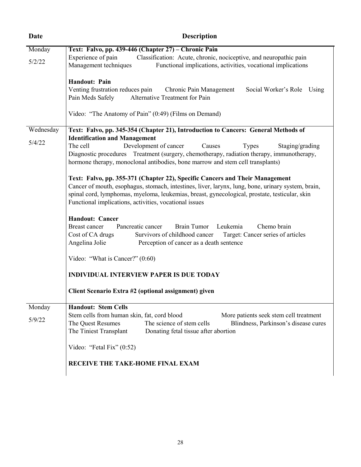| Date      | <b>Description</b>                                                                                                                                                                                                                                                                                                                            |  |  |  |
|-----------|-----------------------------------------------------------------------------------------------------------------------------------------------------------------------------------------------------------------------------------------------------------------------------------------------------------------------------------------------|--|--|--|
| Monday    | Text: Falvo, pp. 439-446 (Chapter 27) – Chronic Pain                                                                                                                                                                                                                                                                                          |  |  |  |
| 5/2/22    | Experience of pain<br>Classification: Acute, chronic, nociceptive, and neuropathic pain<br>Management techniques<br>Functional implications, activities, vocational implications                                                                                                                                                              |  |  |  |
|           | Handout: Pain<br>Venting frustration reduces pain<br>Chronic Pain Management<br>Social Worker's Role Using<br>Pain Meds Safely<br>Alternative Treatment for Pain                                                                                                                                                                              |  |  |  |
|           | Video: "The Anatomy of Pain" (0:49) (Films on Demand)                                                                                                                                                                                                                                                                                         |  |  |  |
| Wednesday | Text: Falvo, pp. 345-354 (Chapter 21), Introduction to Cancers: General Methods of<br><b>Identification and Management</b>                                                                                                                                                                                                                    |  |  |  |
| 5/4/22    | The cell<br>Development of cancer<br>Causes<br>Staging/grading<br><b>Types</b><br>Diagnostic procedures Treatment (surgery, chemotherapy, radiation therapy, immunotherapy,<br>hormone therapy, monoclonal antibodies, bone marrow and stem cell transplants)                                                                                 |  |  |  |
|           | Text: Falvo, pp. 355-371 (Chapter 22), Specific Cancers and Their Management<br>Cancer of mouth, esophagus, stomach, intestines, liver, larynx, lung, bone, urinary system, brain,<br>spinal cord, lymphomas, myeloma, leukemias, breast, gynecological, prostate, testicular, skin<br>Functional implications, activities, vocational issues |  |  |  |
|           | <b>Handout: Cancer</b><br>Pancreatic cancer<br><b>Brain Tumor</b><br>Leukemia<br>Chemo brain<br>Breast cancer<br>Cost of CA drugs<br>Survivors of childhood cancer<br>Target: Cancer series of articles<br>Angelina Jolie<br>Perception of cancer as a death sentence                                                                         |  |  |  |
|           | Video: "What is Cancer?" $(0.60)$                                                                                                                                                                                                                                                                                                             |  |  |  |
|           | <b>INDIVIDUAL INTERVIEW PAPER IS DUE TODAY</b>                                                                                                                                                                                                                                                                                                |  |  |  |
|           | Client Scenario Extra #2 (optional assignment) given                                                                                                                                                                                                                                                                                          |  |  |  |
| Monday    | <b>Handout: Stem Cells</b>                                                                                                                                                                                                                                                                                                                    |  |  |  |
| 5/9/22    | Stem cells from human skin, fat, cord blood<br>More patients seek stem cell treatment<br>The science of stem cells<br>The Quest Resumes<br>Blindness, Parkinson's disease cures<br>The Tiniest Transplant<br>Donating fetal tissue after abortion                                                                                             |  |  |  |
|           | Video: "Fetal Fix" $(0.52)$                                                                                                                                                                                                                                                                                                                   |  |  |  |
|           | RECEIVE THE TAKE-HOME FINAL EXAM                                                                                                                                                                                                                                                                                                              |  |  |  |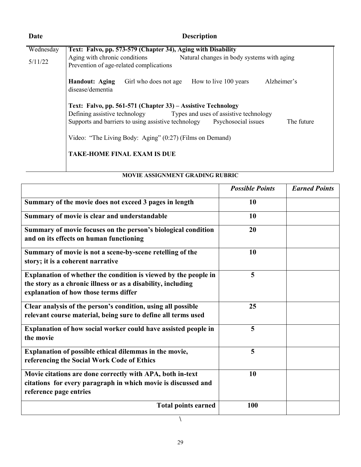| Date      | <b>Description</b>                                                                                                                                                                                                            |  |  |  |
|-----------|-------------------------------------------------------------------------------------------------------------------------------------------------------------------------------------------------------------------------------|--|--|--|
| Wednesday | Text: Falvo, pp. 573-579 (Chapter 34), Aging with Disability<br>Aging with chronic conditions<br>Natural changes in body systems with aging<br>Prevention of age-related complications                                        |  |  |  |
| 5/11/22   |                                                                                                                                                                                                                               |  |  |  |
|           | Alzheimer's<br><b>Handout: Aging</b><br>Girl who does not age<br>How to live 100 years<br>disease/dementia                                                                                                                    |  |  |  |
|           | Text: Falvo, pp. 561-571 (Chapter 33) – Assistive Technology<br>Defining assistive technology Types and uses of assistive technology<br>Supports and barriers to using assistive technology Psychosocial issues<br>The future |  |  |  |
|           | Video: "The Living Body: Aging" (0:27) (Films on Demand)                                                                                                                                                                      |  |  |  |
|           | <b>TAKE-HOME FINAL EXAM IS DUE</b>                                                                                                                                                                                            |  |  |  |

# **MOVIE ASSIGNMENT GRADING RUBRIC**

|                                                                                                                                                                          | <b>Possible Points</b> | <b>Earned Points</b> |
|--------------------------------------------------------------------------------------------------------------------------------------------------------------------------|------------------------|----------------------|
| Summary of the movie does not exceed 3 pages in length                                                                                                                   | 10                     |                      |
| Summary of movie is clear and understandable                                                                                                                             | 10                     |                      |
| Summary of movie focuses on the person's biological condition<br>and on its effects on human functioning                                                                 | 20                     |                      |
| Summary of movie is not a scene-by-scene retelling of the<br>story; it is a coherent narrative                                                                           | 10                     |                      |
| Explanation of whether the condition is viewed by the people in<br>the story as a chronic illness or as a disability, including<br>explanation of how those terms differ | 5                      |                      |
| Clear analysis of the person's condition, using all possible<br>relevant course material, being sure to define all terms used                                            | 25                     |                      |
| Explanation of how social worker could have assisted people in<br>the movie                                                                                              | 5                      |                      |
| Explanation of possible ethical dilemmas in the movie,<br>referencing the Social Work Code of Ethics                                                                     | 5                      |                      |
| Movie citations are done correctly with APA, both in-text<br>citations for every paragraph in which movie is discussed and<br>reference page entries                     | 10                     |                      |
| <b>Total points earned</b>                                                                                                                                               | 100                    |                      |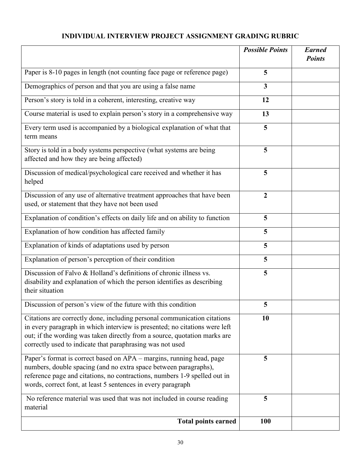# **INDIVIDUAL INTERVIEW PROJECT ASSIGNMENT GRADING RUBRIC**

|                                                                                                                                                                                                                                                                                                  | <b>Possible Points</b>  | <b>Earned</b><br><b>Points</b> |
|--------------------------------------------------------------------------------------------------------------------------------------------------------------------------------------------------------------------------------------------------------------------------------------------------|-------------------------|--------------------------------|
| Paper is 8-10 pages in length (not counting face page or reference page)                                                                                                                                                                                                                         | 5                       |                                |
| Demographics of person and that you are using a false name                                                                                                                                                                                                                                       | $\overline{\mathbf{3}}$ |                                |
| Person's story is told in a coherent, interesting, creative way                                                                                                                                                                                                                                  | 12                      |                                |
| Course material is used to explain person's story in a comprehensive way                                                                                                                                                                                                                         | 13                      |                                |
| Every term used is accompanied by a biological explanation of what that<br>term means                                                                                                                                                                                                            | 5                       |                                |
| Story is told in a body systems perspective (what systems are being<br>affected and how they are being affected)                                                                                                                                                                                 | 5                       |                                |
| Discussion of medical/psychological care received and whether it has<br>helped                                                                                                                                                                                                                   | 5                       |                                |
| Discussion of any use of alternative treatment approaches that have been<br>used, or statement that they have not been used                                                                                                                                                                      | $\boldsymbol{2}$        |                                |
| Explanation of condition's effects on daily life and on ability to function                                                                                                                                                                                                                      | 5                       |                                |
| Explanation of how condition has affected family                                                                                                                                                                                                                                                 | 5                       |                                |
| Explanation of kinds of adaptations used by person                                                                                                                                                                                                                                               | 5                       |                                |
| Explanation of person's perception of their condition                                                                                                                                                                                                                                            | 5                       |                                |
| Discussion of Falvo & Holland's definitions of chronic illness vs.<br>disability and explanation of which the person identifies as describing<br>their situation                                                                                                                                 | 5                       |                                |
| Discussion of person's view of the future with this condition                                                                                                                                                                                                                                    | 5                       |                                |
| Citations are correctly done, including personal communication citations<br>in every paragraph in which interview is presented; no citations were left<br>out; if the wording was taken directly from a source, quotation marks are<br>correctly used to indicate that paraphrasing was not used | 10                      |                                |
| Paper's format is correct based on APA – margins, running head, page<br>numbers, double spacing (and no extra space between paragraphs),<br>reference page and citations, no contractions, numbers 1-9 spelled out in<br>words, correct font, at least 5 sentences in every paragraph            | 5                       |                                |
| No reference material was used that was not included in course reading<br>material                                                                                                                                                                                                               | 5                       |                                |
| <b>Total points earned</b>                                                                                                                                                                                                                                                                       | 100                     |                                |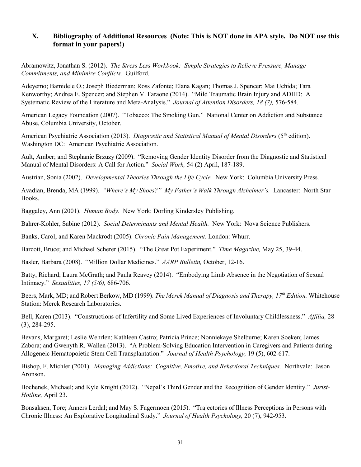## **X. Bibliography of Additional Resources (Note: This is NOT done in APA style. Do NOT use this format in your papers!)**

Abramowitz, Jonathan S. (2012). *The Stress Less Workbook: Simple Strategies to Relieve Pressure, Manage Commitments, and Minimize Conflicts.* Guilford.

Adeyemo; Bamidele O.; Joseph Biederman; Ross Zafonte; Elana Kagan; Thomas J. Spencer; Mai Uchida; Tara Kenworthy; Andrea E. Spencer; and Stephen V. Faraone (2014). "Mild Traumatic Brain Injury and ADHD: A Systematic Review of the Literature and Meta-Analysis." *Journal of Attention Disorders, 18 (7),* 576-584.

American Legacy Foundation (2007). "Tobacco: The Smoking Gun." National Center on Addiction and Substance Abuse, Columbia University, October.

American Psychiatric Association (2013). *Diagnostic and Statistical Manual of Mental Disorders* (5<sup>th</sup> edition). Washington DC: American Psychiatric Association.

Ault, Amber; and Stephanie Brzuzy (2009). "Removing Gender Identity Disorder from the Diagnostic and Statistical Manual of Mental Disorders: A Call for Action." *Social Work,* 54 (2) April, 187-189.

Austrian, Sonia (2002). *Developmental Theories Through the Life Cycle.* New York: Columbia University Press.

Avadian, Brenda, MA (1999). *"Where's My Shoes?" My Father's Walk Through Alzheimer's.* Lancaster: North Star Books.

Baggaley, Ann (2001). *Human Body*. New York: Dorling Kindersley Publishing.

Bahrer-Kohler, Sabine (2012). *Social Determinants and Mental Health.* New York: Nova Science Publishers.

Banks, Carol; and Karen Mackrodt (2005). *Chronic Pain Management*. London: Whurr.

Barcott, Bruce; and Michael Scherer (2015). "The Great Pot Experiment." *Time Magazine,* May 25, 39-44.

Basler, Barbara (2008). "Million Dollar Medicines." *AARP Bulletin,* October, 12-16.

Batty, Richard; Laura McGrath; and Paula Reavey (2014). "Embodying Limb Absence in the Negotiation of Sexual Intimacy." *Sexualities, 17 (5/6),* 686-706.

Beers, Mark, MD; and Robert Berkow, MD (1999). *The Merck Manual of Diagnosis and Therapy, 17th Edition.* Whitehouse Station: Merck Research Laboratories.

Bell, Karen (2013). "Constructions of Infertility and Some Lived Experiences of Involuntary Childlessness." *Affilia,* 28 (3), 284-295.

Bevans, Margaret; Leslie Wehrlen; Kathleen Castro; Patricia Prince; Nonniekaye Shelburne; Karen Soeken; James Zabora; and Gwenyth R. Wallen (2013). "A Problem-Solving Education Intervention in Caregivers and Patients during Allogeneic Hematopoietic Stem Cell Transplantation." *Journal of Health Psychology,* 19 (5), 602-617.

Bishop, F. Michler (2001). *Managing Addictions: Cognitive, Emotive, and Behavioral Techniques.* Northvale: Jason Aronson.

Bochenek, Michael; and Kyle Knight (2012). "Nepal's Third Gender and the Recognition of Gender Identity." *Jurist-Hotline,* April 23.

Bonsaksen, Tore; Anners Lerdal; and May S. Fagermoen (2015). "Trajectories of Illness Perceptions in Persons with Chronic Illness: An Explorative Longitudinal Study." *Journal of Health Psychology,* 20 (7), 942-953.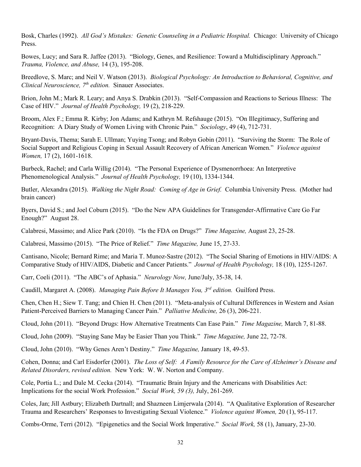Bosk, Charles (1992). *All God's Mistakes: Genetic Counseling in a Pediatric Hospital.* Chicago: University of Chicago Press.

Bowes, Lucy; and Sara R. Jaffee (2013). "Biology, Genes, and Resilience: Toward a Multidisciplinary Approach." *Trauma, Violence, and Abuse,* 14 (3), 195-208.

Breedlove, S. Marc; and Neil V. Watson (2013). *Biological Psychology: An Introduction to Behavioral, Cognitive, and Clinical Neuroscience,* 7<sup>th</sup> *edition*. Sinauer Associates.

Brion, John M.; Mark R. Leary; and Anya S. Drabkin (2013). "Self-Compassion and Reactions to Serious Illness: The Case of HIV." *Journal of Health Psychology,* 19 (2), 218-229.

Broom, Alex F.; Emma R. Kirby; Jon Adams; and Kathryn M. Refshauge (2015). "On Illegitimacy, Suffering and Recognition: A Diary Study of Women Living with Chronic Pain." *Sociology*, 49 (4), 712-731.

Bryant-Davis, Thema; Sarah E. Ullman; Yuying Tsong; and Robyn Gobin (2011). "Surviving the Storm: The Role of Social Support and Religious Coping in Sexual Assault Recovery of African American Women." *Violence against Women,* 17 (2), 1601-1618.

Burbeck, Rachel; and Carla Willig (2014). "The Personal Experience of Dysmenorrhoea: An Interpretive Phenomenological Analysis." *Journal of Health Psychology,* 19 (10), 1334-1344.

Butler, Alexandra (2015). *Walking the Night Road: Coming of Age in Grief.* Columbia University Press. (Mother had brain cancer)

Byers, David S.; and Joel Coburn (2015). "Do the New APA Guidelines for Transgender-Affirmative Care Go Far Enough?" August 28.

Calabresi, Massimo; and Alice Park (2010). "Is the FDA on Drugs?" *Time Magazine,* August 23, 25-28.

Calabresi, Massimo (2015). "The Price of Relief." *Time Magazine,* June 15, 27-33.

Cantisano, Nicole; Bernard Rime; and Maria T. Munoz-Sastre (2012). "The Social Sharing of Emotions in HIV/AIDS: A Comparative Study of HIV/AIDS, Diabetic and Cancer Patients." *Journal of Health Psychology,* 18 (10), 1255-1267.

Carr, Coeli (2011). "The ABC's of Aphasia." *Neurology Now,* June/July, 35-38, 14.

Caudill, Margaret A. (2008). *Managing Pain Before It Manages You, 3rd edition.* Guilford Press.

Chen, Chen H.; Siew T. Tang; and Chien H. Chen (2011). "Meta-analysis of Cultural Differences in Western and Asian Patient-Perceived Barriers to Managing Cancer Pain." *Palliative Medicine,* 26 (3), 206-221.

Cloud, John (2011). "Beyond Drugs: How Alternative Treatments Can Ease Pain." *Time Magazine,* March 7, 81-88.

Cloud, John (2009). "Staying Sane May be Easier Than you Think." *Time Magazine,* June 22, 72-78.

Cloud, John (2010). "Why Genes Aren't Destiny." *Time Magazine,* January 18, 49-53.

Cohen, Donna; and Carl Eisdorfer (2001). *The Loss of Self: A Family Resource for the Care of Alzheimer's Disease and Related Disorders, revised edition.* New York: W. W. Norton and Company.

Cole, Portia L.; and Dale M. Cecka (2014). "Traumatic Brain Injury and the Americans with Disabilities Act: Implications for the social Work Profession." *Social Work, 59 (3),* July, 261-269.

Coles, Jan; Jill Astbury; Elizabeth Dartnall; and Shazneen Limjerwala (2014). "A Qualitative Exploration of Researcher Trauma and Researchers' Responses to Investigating Sexual Violence." *Violence against Women,* 20 (1), 95-117.

Combs-Orme, Terri (2012). "Epigenetics and the Social Work Imperative." *Social Work,* 58 (1), January, 23-30.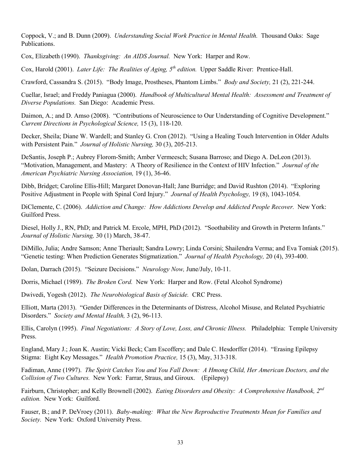Coppock, V.; and B. Dunn (2009). *Understanding Social Work Practice in Mental Health.* Thousand Oaks: Sage Publications.

Cox, Elizabeth (1990). *Thanksgiving: An AIDS Journal.* New York: Harper and Row.

Cox, Harold (2001). *Later Life: The Realities of Aging, 5th edition.* Upper Saddle River: Prentice-Hall.

Crawford, Cassandra S. (2015). "Body Image, Prostheses, Phantom Limbs." *Body and Society,* 21 (2), 221-244.

Cuellar, Israel; and Freddy Paniagua (2000). *Handbook of Multicultural Mental Health: Assessment and Treatment of Diverse Populations.* San Diego: Academic Press.

Daimon, A.; and D. Amso (2008). "Contributions of Neuroscience to Our Understanding of Cognitive Development." *Current Directions in Psychological Science,* 15 (3), 118-120.

Decker, Sheila; Diane W. Wardell; and Stanley G. Cron (2012). "Using a Healing Touch Intervention in Older Adults with Persistent Pain." *Journal of Holistic Nursing,* 30 (3), 205-213.

DeSantis, Joseph P.; Aubrey Florom-Smith; Amber Vermeesch; Susana Barroso; and Diego A. DeLeon (2013). "Motivation, Management, and Mastery: A Theory of Resilience in the Context of HIV Infection." *Journal of the American Psychiatric Nursing Association,* 19 (1), 36-46.

Dibb, Bridget; Caroline Ellis-Hill; Margaret Donovan-Hall; Jane Burridge; and David Rushton (2014). "Exploring Positive Adjustment in People with Spinal Cord Injury." *Journal of Health Psychology,* 19 (8), 1043-1054.

DiClemente, C. (2006). *Addiction and Change: How Addictions Develop and Addicted People Recover.* New York: Guilford Press.

Diesel, Holly J., RN, PhD; and Patrick M. Ercole, MPH, PhD (2012). "Soothability and Growth in Preterm Infants." *Journal of Holistic Nursing,* 30 (1) March, 38-47.

DiMillo, Julia; Andre Samson; Anne Theriault; Sandra Lowry; Linda Corsini; Shailendra Verma; and Eva Tomiak (2015). "Genetic testing: When Prediction Generates Stigmatization." *Journal of Health Psychology,* 20 (4), 393-400.

Dolan, Darrach (2015). "Seizure Decisions." *Neurology Now,* June/July, 10-11.

Dorris, Michael (1989). *The Broken Cord.* New York: Harper and Row. (Fetal Alcohol Syndrome)

Dwivedi, Yogesh (2012). *The Neurobiological Basis of Suicide.* CRC Press.

Elliott, Marta (2013). "Gender Differences in the Determinants of Distress, Alcohol Misuse, and Related Psychiatric Disorders." *Society and Mental Health,* 3 (2), 96-113.

Ellis, Carolyn (1995). *Final Negotiations: A Story of Love, Loss, and Chronic Illness.* Philadelphia: Temple University Press.

England, Mary J.; Joan K. Austin; Vicki Beck; Cam Escoffery; and Dale C. Hesdorffer (2014). "Erasing Epilepsy Stigma: Eight Key Messages." *Health Promotion Practice,* 15 (3), May, 313-318.

Fadiman, Anne (1997). *The Spirit Catches You and You Fall Down: A Hmong Child, Her American Doctors, and the Collision of Two Cultures.* New York: Farrar, Straus, and Giroux. (Epilepsy)

Fairburn, Christopher; and Kelly Brownell (2002). *Eating Disorders and Obesity: A Comprehensive Handbook, 2nd edition.* New York: Guilford.

Fauser, B.; and P. DeVroey (2011). *Baby-making: What the New Reproductive Treatments Mean for Families and Society.* New York: Oxford University Press.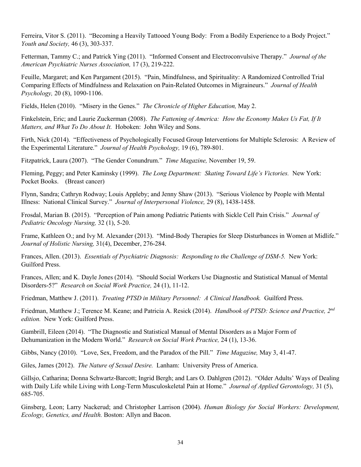Ferreira, Vitor S. (2011). "Becoming a Heavily Tattooed Young Body: From a Bodily Experience to a Body Project." *Youth and Society,* 46 (3), 303-337.

Fetterman, Tammy C.; and Patrick Ying (2011). "Informed Consent and Electroconvulsive Therapy." *Journal of the American Psychiatric Nurses Association,* 17 (3), 219-222.

Feuille, Margaret; and Ken Pargament (2015). "Pain, Mindfulness, and Spirituality: A Randomized Controlled Trial Comparing Effects of Mindfulness and Relaxation on Pain-Related Outcomes in Migraineurs." *Journal of Health Psychology,* 20 (8), 1090-1106.

Fields, Helen (2010). "Misery in the Genes." *The Chronicle of Higher Education,* May 2.

Finkelstein, Eric; and Laurie Zuckerman (2008). *The Fattening of America: How the Economy Makes Us Fat, If It Matters, and What To Do About It.* Hoboken: John Wiley and Sons.

Firth, Nick (2014). "Effectiveness of Psychologically Focused Group Interventions for Multiple Sclerosis: A Review of the Experimental Literature." *Journal of Health Psychology,* 19 (6), 789-801.

Fitzpatrick, Laura (2007). "The Gender Conundrum." *Time Magazine,* November 19, 59.

Fleming, Peggy; and Peter Kaminsky (1999). *The Long Department: Skating Toward Life's Victories.* New York: Pocket Books. (Breast cancer)

Flynn, Sandra; Cathryn Rodway; Louis Appleby; and Jenny Shaw (2013). "Serious Violence by People with Mental Illness: National Clinical Survey." *Journal of Interpersonal Violence,* 29 (8), 1438-1458.

Frosdal, Marian B. (2015). "Perception of Pain among Pediatric Patients with Sickle Cell Pain Crisis." *Journal of Pediatric Oncology Nursing,* 32 (1), 5-20.

Frame, Kathleen O.; and Ivy M. Alexander (2013). "Mind-Body Therapies for Sleep Disturbances in Women at Midlife." *Journal of Holistic Nursing,* 31(4), December, 276-284.

Frances, Allen. (2013). *Essentials of Psychiatric Diagnosis: Responding to the Challenge of DSM-5.* New York: Guilford Press.

Frances, Allen; and K. Dayle Jones (2014). "Should Social Workers Use Diagnostic and Statistical Manual of Mental Disorders-5?" *Research on Social Work Practice,* 24 (1), 11-12.

Friedman, Matthew J. (2011). *Treating PTSD in Military Personnel: A Clinical Handbook.* Guilford Press.

Friedman, Matthew J.; Terence M. Keane; and Patricia A. Resick (2014). *Handbook of PTSD: Science and Practice, 2nd edition.* New York: Guilford Press.

Gambrill, Eileen (2014). "The Diagnostic and Statistical Manual of Mental Disorders as a Major Form of Dehumanization in the Modern World." *Research on Social Work Practice,* 24 (1), 13-36.

Gibbs, Nancy (2010). "Love, Sex, Freedom, and the Paradox of the Pill." *Time Magazine,* May 3, 41-47.

Giles, James (2012). *The Nature of Sexual Desire.* Lanham: University Press of America.

Gillsjo, Catharina; Donna Schwartz-Barcott; Ingrid Bergh; and Lars O. Dahlgren (2012). "Older Adults' Ways of Dealing with Daily Life while Living with Long-Term Musculoskeletal Pain at Home." *Journal of Applied Gerontology,* 31 (5), 685-705.

Ginsberg, Leon; Larry Nackerud; and Christopher Larrison (2004). *Human Biology for Social Workers: Development, Ecology, Genetics, and Health.* Boston: Allyn and Bacon.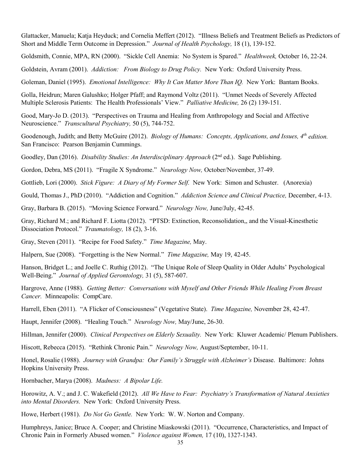Glattacker, Manuela; Katja Heyduck; and Cornelia Meffert (2012). "Illness Beliefs and Treatment Beliefs as Predictors of Short and Middle Term Outcome in Depression." *Journal of Health Psychology,* 18 (1), 139-152.

Goldsmith, Connie, MPA, RN (2000). "Sickle Cell Anemia: No System is Spared." *Healthweek,* October 16, 22-24.

Goldstein, Avram (2001). *Addiction: From Biology to Drug Policy.* New York: Oxford University Press.

Goleman, Daniel (1995). *Emotional Intelligence: Why It Can Matter More Than IQ.* New York: Bantam Books.

Golla, Heidrun; Maren Galushko; Holger Pfaff; and Raymond Voltz (2011). "Unmet Needs of Severely Affected Multiple Sclerosis Patients: The Health Professionals' View." *Palliative Medicine,* 26 (2) 139-151.

Good, Mary-Jo D. (2013). "Perspectives on Trauma and Healing from Anthropology and Social and Affective Neuroscience." *Transcultural Psychiatry,* 50 (5), 744-752.

Goodenough, Judith; and Betty McGuire (2012). *Biology of Humans: Concepts, Applications, and Issues, 4th edition.* San Francisco: Pearson Benjamin Cummings.

Goodley, Dan (2016). *Disability Studies: An Interdisciplinary Approach* (2<sup>nd</sup> ed.). Sage Publishing.

Gordon, Debra, MS (2011). "Fragile X Syndrome." *Neurology Now,* October/November, 37-49.

Gottlieb, Lori (2000). *Stick Figure: A Diary of My Former Self.* New York: Simon and Schuster. (Anorexia)

Gould, Thomas J., PhD (2010). "Addiction and Cognition." *Addiction Science and Clinical Practice,* December, 4-13.

Gray, Barbara B. (2015). "Moving Science Forward." *Neurology Now,* June/July, 42-45.

Gray, Richard M.; and Richard F. Liotta (2012). "PTSD: Extinction, Reconsolidation,, and the Visual-Kinesthetic Dissociation Protocol." *Traumatology,* 18 (2), 3-16.

Gray, Steven (2011). "Recipe for Food Safety." *Time Magazine,* May.

Halpern, Sue (2008). "Forgetting is the New Normal." *Time Magazine,* May 19, 42-45.

Hanson, Bridget L.; and Joelle C. Ruthig (2012). "The Unique Role of Sleep Quality in Older Adults' Psychological Well-Being." *Journal of Applied Gerontology,* 31 (5), 587-607.

Hargrove, Anne (1988). *Getting Better: Conversations with Myself and Other Friends While Healing From Breast Cancer.* Minneapolis: CompCare.

Harrell, Eben (2011). "A Flicker of Consciousness" (Vegetative State). *Time Magazine,* November 28, 42-47.

Haupt, Jennifer (2008). "Healing Touch." *Neurology Now,* May/June, 26-30.

Hillman, Jennifer (2000). *Clinical Perspectives on Elderly Sexuality.* New York: Kluwer Academic/ Plenum Publishers.

Hiscott, Rebecca (2015). "Rethink Chronic Pain." *Neurology Now,* August/September, 10-11.

Honel, Rosalie (1988). *Journey with Grandpa: Our Family's Struggle with Alzheimer's* Disease. Baltimore: Johns Hopkins University Press.

Hornbacher, Marya (2008). *Madness: A Bipolar Life.*

Horowitz, A. V.; and J. C. Wakefield (2012). *All We Have to Fear: Psychiatry's Transformation of Natural Anxieties into Mental Disorders.* New York: Oxford University Press.

Howe, Herbert (1981). *Do Not Go Gentle.* New York: W. W. Norton and Company.

Humphreys, Janice; Bruce A. Cooper; and Christine Miaskowski (2011). "Occurrence, Characteristics, and Impact of Chronic Pain in Formerly Abused women." *Violence against Women,* 17 (10), 1327-1343.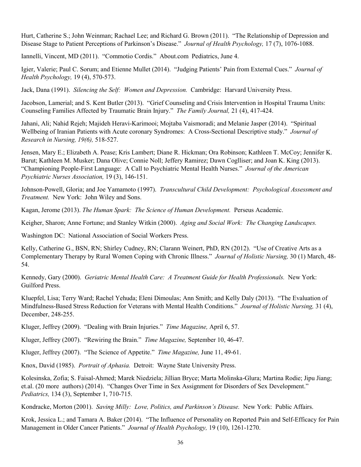Hurt, Catherine S.; John Weinman; Rachael Lee; and Richard G. Brown (2011). "The Relationship of Depression and Disease Stage to Patient Perceptions of Parkinson's Disease." *Journal of Health Psychology,* 17 (7), 1076-1088.

Iannelli, Vincent, MD (2011). "Commotio Cordis." About.com Pediatrics, June 4.

Igier, Valerie; Paul C. Sorum; and Etienne Mullet (2014). "Judging Patients' Pain from External Cues." *Journal of Health Psychology,* 19 (4), 570-573.

Jack, Dana (1991). *Silencing the Self: Women and Depression.* Cambridge: Harvard University Press.

Jacobson, Lamerial; and S. Kent Butler (2013). "Grief Counseling and Crisis Intervention in Hospital Trauma Units: Counseling Families Affected by Traumatic Brain Injury." *The Family Journal,* 21 (4), 417-424.

Jahani, Ali; Nahid Rejeh; Majideh Heravi-Karimooi; Mojtaba Vaismoradi; and Melanie Jasper (2014). "Spiritual Wellbeing of Iranian Patients with Acute coronary Syndromes: A Cross-Sectional Descriptive study." *Journal of Research in Nursing, 19(6),* 518-527.

Jensen, Mary E.; Elizabeth A. Pease; Kris Lambert; Diane R. Hickman; Ora Robinson; Kathleen T. McCoy; Jennifer K. Barut; Kathleen M. Musker; Dana Olive; Connie Noll; Jeffery Ramirez; Dawn Coglliser; and Joan K. King (2013). "Championing People-First Language: A Call to Psychiatric Mental Health Nurses." *Journal of the American Psychiatric Nurses Association,* 19 (3), 146-151.

Johnson-Powell, Gloria; and Joe Yamamoto (1997). *Transcultural Child Development: Psychological Assessment and Treatment.* New York: John Wiley and Sons.

Kagan, Jerome (2013). *The Human Spark: The Science of Human Development.* Perseus Academic.

Keigher, Sharon; Anne Fortune; and Stanley Witkin (2000). *Aging and Social Work: The Changing Landscapes.* 

Washington DC: National Association of Social Workers Press.

Kelly, Catherine G., BSN, RN; Shirley Cudney, RN; Clarann Weinert, PhD, RN (2012). "Use of Creative Arts as a Complementary Therapy by Rural Women Coping with Chronic Illness." *Journal of Holistic Nursing,* 30 (1) March, 48- 54.

Kennedy, Gary (2000). *Geriatric Mental Health Care: A Treatment Guide for Health Professionals.* New York: Guilford Press.

Kluepfel, Lisa; Terry Ward; Rachel Yehuda; Eleni Dimoulas; Ann Smith; and Kelly Daly (2013). "The Evaluation of Mindfulness-Based Stress Reduction for Veterans with Mental Health Conditions." *Journal of Holistic Nursing,* 31 (4), December, 248-255.

Kluger, Jeffrey (2009). "Dealing with Brain Injuries." *Time Magazine,* April 6, 57.

Kluger, Jeffrey (2007). "Rewiring the Brain." *Time Magazine,* September 10, 46-47.

Kluger, Jeffrey (2007). "The Science of Appetite." *Time Magazine,* June 11, 49-61.

Knox, David (1985). *Portrait of Aphasia.* Detroit: Wayne State University Press.

Kolesinska, Zofia; S. Faisal-Ahmed; Marek Niedziela; Jillian Bryce; Marta Molinska-Glura; Martina Rodie; Jipu Jiang; et.al. (20 more authors) (2014). "Changes Over Time in Sex Assignment for Disorders of Sex Development." *Pediatrics,* 134 (3), September 1, 710-715.

Kondracke, Morton (2001). *Saving Milly: Love, Politics, and Parkinson's Disease.* New York: Public Affairs.

Krok, Jessica L.; and Tamara A. Baker (2014). "The Influence of Personality on Reported Pain and Self-Efficacy for Pain Management in Older Cancer Patients." *Journal of Health Psychology,* 19 (10), 1261-1270.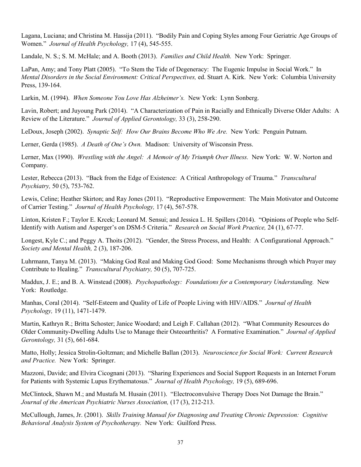Lagana, Luciana; and Christina M. Hassija (2011). "Bodily Pain and Coping Styles among Four Geriatric Age Groups of Women." *Journal of Health Psychology,* 17 (4), 545-555.

Landale, N. S.; S. M. McHale; and A. Booth (2013). *Families and Child Health.* New York: Springer.

LaPan, Amy; and Tony Platt (2005). "To Stem the Tide of Degeneracy: The Eugenic Impulse in Social Work." In *Mental Disorders in the Social Environment: Critical Perspectives,* ed. Stuart A. Kirk. New York: Columbia University Press, 139-164.

Larkin, M. (1994). *When Someone You Love Has Alzheimer's.* New York: Lynn Sonberg.

Lavin, Robert; and Juyoung Park (2014). "A Characterization of Pain in Racially and Ethnically Diverse Older Adults: A Review of the Literature." *Journal of Applied Gerontology,* 33 (3), 258-290.

LeDoux, Joseph (2002). *Synaptic Self: How Our Brains Become Who We Are.* New York: Penguin Putnam.

Lerner, Gerda (1985). *A Death of One's Own.* Madison: University of Wisconsin Press.

Lerner, Max (1990). *Wrestling with the Angel: A Memoir of My Triumph Over Illness.* New York: W. W. Norton and Company.

Lester, Rebecca (2013). "Back from the Edge of Existence: A Critical Anthropology of Trauma." *Transcultural Psychiatry,* 50 (5), 753-762.

Lewis, Celine; Heather Skirton; and Ray Jones (2011). "Reproductive Empowerment: The Main Motivator and Outcome of Carrier Testing." *Journal of Health Psychology,* 17 (4), 567-578.

Linton, Kristen F.; Taylor E. Krcek; Leonard M. Sensui; and Jessica L. H. Spillers (2014). "Opinions of People who Self-Identify with Autism and Asperger's on DSM-5 Criteria." *Research on Social Work Practice,* 24 (1), 67-77.

Longest, Kyle C.; and Peggy A. Thoits (2012). "Gender, the Stress Process, and Health: A Configurational Approach." *Society and Mental Health,* 2 (3), 187-206.

Luhrmann, Tanya M. (2013). "Making God Real and Making God Good: Some Mechanisms through which Prayer may Contribute to Healing." *Transcultural Psychiatry,* 50 (5), 707-725.

Maddux, J. E.; and B. A. Winstead (2008). *Psychopathology: Foundations for a Contemporary Understanding.* New York: Routledge.

Manhas, Coral (2014). "Self-Esteem and Quality of Life of People Living with HIV/AIDS." *Journal of Health Psychology,* 19 (11), 1471-1479.

Martin, Kathryn R.; Britta Schoster; Janice Woodard; and Leigh F. Callahan (2012). "What Community Resources do Older Community-Dwelling Adults Use to Manage their Osteoarthritis? A Formative Examination." *Journal of Applied Gerontology,* 31 (5), 661-684.

Matto, Holly; Jessica Strolin-Goltzman; and Michelle Ballan (2013). *Neuroscience for Social Work: Current Research and Practice.* New York: Springer.

Mazzoni, Davide; and Elvira Cicognani (2013). "Sharing Experiences and Social Support Requests in an Internet Forum for Patients with Systemic Lupus Erythematosus." *Journal of Health Psychology,* 19 (5), 689-696.

McClintock, Shawn M.; and Mustafa M. Husain (2011). "Electroconvulsive Therapy Does Not Damage the Brain." *Journal of the American Psychiatric Nurses Association,* (17 (3), 212-213.

McCullough, James, Jr. (2001). *Skills Training Manual for Diagnosing and Treating Chronic Depression: Cognitive Behavioral Analysis System of Psychotherapy.* New York: Guilford Press.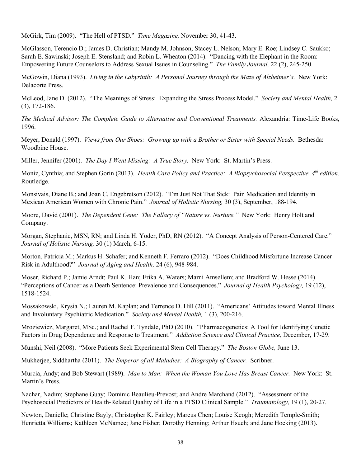McGirk, Tim (2009). "The Hell of PTSD." *Time Magazine,* November 30, 41-43.

McGlasson, Terencio D.; James D. Christian; Mandy M. Johnson; Stacey L. Nelson; Mary E. Roe; Lindsey C. Saukko; Sarah E. Sawinski; Joseph E. Stensland; and Robin L. Wheaton (2014). "Dancing with the Elephant in the Room: Empowering Future Counselors to Address Sexual Issues in Counseling." *The Family Journal,* 22 (2), 245-250.

McGowin, Diana (1993). *Living in the Labyrinth: A Personal Journey through the Maze of Alzheimer's.* New York: Delacorte Press.

McLeod, Jane D. (2012). "The Meanings of Stress: Expanding the Stress Process Model." *Society and Mental Health,* 2 (3), 172-186.

*The Medical Advisor: The Complete Guide to Alternative and Conventional Treatments.* Alexandria: Time-Life Books, 1996.

Meyer, Donald (1997). *Views from Our Shoes: Growing up with a Brother or Sister with Special Needs.* Bethesda: Woodbine House.

Miller, Jennifer (2001). *The Day I Went Missing: A True Story.* New York: St. Martin's Press.

Moniz, Cynthia; and Stephen Gorin (2013). *Health Care Policy and Practice: A Biopsychosocial Perspective, 4th edition.* Routledge.

Monsivais, Diane B.; and Joan C. Engebretson (2012). "I'm Just Not That Sick: Pain Medication and Identity in Mexican American Women with Chronic Pain." *Journal of Holistic Nursing,* 30 (3), September, 188-194.

Moore, David (2001). *The Dependent Gene: The Fallacy of "Nature vs. Nurture."* New York: Henry Holt and Company.

Morgan, Stephanie, MSN, RN; and Linda H. Yoder, PhD, RN (2012). "A Concept Analysis of Person-Centered Care." *Journal of Holistic Nursing,* 30 (1) March, 6-15.

Morton, Patricia M.; Markus H. Schafer; and Kenneth F. Ferraro (2012). "Does Childhood Misfortune Increase Cancer Risk in Adulthood?" *Journal of Aging and Health,* 24 (6), 948-984.

Moser, Richard P.; Jamie Arndt; Paul K. Han; Erika A. Waters; Marni Amsellem; and Bradford W. Hesse (2014). "Perceptions of Cancer as a Death Sentence: Prevalence and Consequences." *Journal of Health Psychology,* 19 (12), 1518-1524.

Mossakowski, Krysia N.; Lauren M. Kaplan; and Terrence D. Hill (2011). "Americans' Attitudes toward Mental Illness and Involuntary Psychiatric Medication." *Society and Mental Health,* 1 (3), 200-216.

Mroziewicz, Margaret, MSc.; and Rachel F. Tyndale, PhD (2010). "Pharmacogenetics: A Tool for Identifying Genetic Factors in Drug Dependence and Response to Treatment." *Addiction Science and Clinical Practice,* December, 17-29.

Munshi, Neil (2008). "More Patients Seek Experimental Stem Cell Therapy." *The Boston Globe,* June 13.

Mukherjee, Siddhartha (2011). *The Emperor of all Maladies: A Biography of Cancer.* Scribner.

Murcia, Andy; and Bob Stewart (1989). *Man to Man: When the Woman You Love Has Breast Cancer.* New York: St. Martin's Press.

Nachar, Nadim; Stephane Guay; Dominic Beaulieu-Prevost; and Andre Marchand (2012). "Assessment of the Psychosocial Predictors of Health-Related Quality of Life in a PTSD Clinical Sample." *Traumatology,* 19 (1), 20-27.

Newton, Danielle; Christine Bayly; Christopher K. Fairley; Marcus Chen; Louise Keogh; Meredith Temple-Smith; Henrietta Williams; Kathleen McNamee; Jane Fisher; Dorothy Henning; Arthur Hsueh; and Jane Hocking (2013).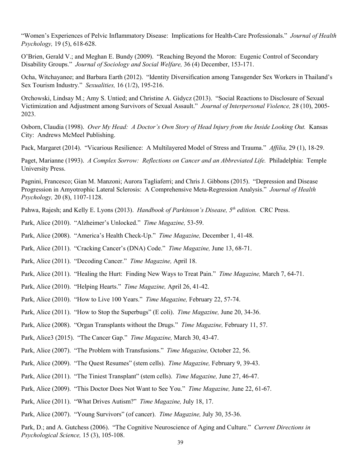"Women's Experiences of Pelvic Inflammatory Disease: Implications for Health-Care Professionals." *Journal of Health Psychology,* 19 (5), 618-628.

O'Brien, Gerald V.; and Meghan E. Bundy (2009). "Reaching Beyond the Moron: Eugenic Control of Secondary Disability Groups." *Journal of Sociology and Social Welfare,* 36 (4) December, 153-171.

Ocha, Witchayanee; and Barbara Earth (2012). "Identity Diversification among Tansgender Sex Workers in Thailand's Sex Tourism Industry." *Sexualities,* 16 (1/2), 195-216.

Orchowski, Lindsay M.; Amy S. Untied; and Christine A. Gidycz (2013). "Social Reactions to Disclosure of Sexual Victimization and Adjustment among Survivors of Sexual Assault." *Journal of Interpersonal Violence,* 28 (10), 2005- 2023.

Osborn, Claudia (1998). *Over My Head: A Doctor's Own Story of Head Injury from the Inside Looking Out.* Kansas City: Andrews McMeel Publishing.

Pack, Margaret (2014). "Vicarious Resilience: A Multilayered Model of Stress and Trauma." *Affilia,* 29 (1), 18-29.

Paget, Marianne (1993). *A Complex Sorrow: Reflections on Cancer and an Abbreviated Life.* Philadelphia: Temple University Press.

Pagnini, Francesco; Gian M. Manzoni; Aurora Tagliaferri; and Chris J. Gibbons (2015). "Depression and Disease Progression in Amyotrophic Lateral Sclerosis: A Comprehensive Meta-Regression Analysis." *Journal of Health Psychology,* 20 (8), 1107-1128.

Pahwa, Rajesh; and Kelly E. Lyons (2013). *Handbook of Parkinson's Disease, 5th edition.* CRC Press.

- Park, Alice (2010). "Alzheimer's Unlocked." *Time Magazine,* 53-59.
- Park, Alice (2008). "America's Health Check-Up." *Time Magazine,* December 1, 41-48.
- Park, Alice (2011). "Cracking Cancer's (DNA) Code." *Time Magazine,* June 13, 68-71.
- Park, Alice (2011). "Decoding Cancer." *Time Magazine,* April 18.
- Park, Alice (2011). "Healing the Hurt: Finding New Ways to Treat Pain." *Time Magazine,* March 7, 64-71.
- Park, Alice (2010). "Helping Hearts." *Time Magazine,* April 26, 41-42.
- Park, Alice (2010). "How to Live 100 Years." *Time Magazine,* February 22, 57-74.
- Park, Alice (2011). "How to Stop the Superbugs" (E coli). *Time Magazine,* June 20, 34-36.
- Park, Alice (2008). "Organ Transplants without the Drugs." *Time Magazine,* February 11, 57.
- Park, Alice3 (2015). "The Cancer Gap." *Time Magazine,* March 30, 43-47.
- Park, Alice (2007). "The Problem with Transfusions." *Time Magazine,* October 22, 56.
- Park, Alice (2009). "The Quest Resumes" (stem cells). *Time Magazine,* February 9, 39-43.
- Park, Alice (2011). "The Tiniest Transplant" (stem cells). *Time Magazine,* June 27, 46-47.
- Park, Alice (2009). "This Doctor Does Not Want to See You." *Time Magazine,* June 22, 61-67.
- Park, Alice (2011). "What Drives Autism?" *Time Magazine,* July 18, 17.
- Park, Alice (2007). "Young Survivors" (of cancer). *Time Magazine,* July 30, 35-36.

Park, D.; and A. Gutchess (2006). "The Cognitive Neuroscience of Aging and Culture." *Current Directions in Psychological Science,* 15 (3), 105-108.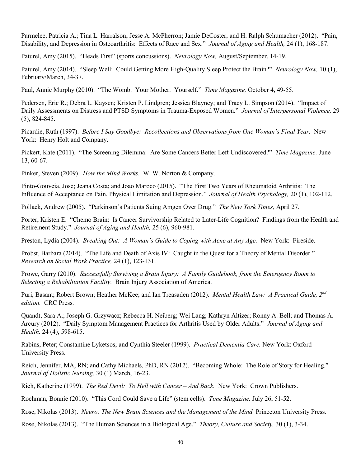Parmelee, Patricia A.; Tina L. Harralson; Jesse A. McPherron; Jamie DeCoster; and H. Ralph Schumacher (2012). "Pain, Disability, and Depression in Osteoarthritis: Effects of Race and Sex." *Journal of Aging and Health,* 24 (1), 168-187.

Paturel, Amy (2015). "Heads First" (sports concussions). *Neurology Now,* August/September, 14-19.

Paturel, Amy (2014). "Sleep Well: Could Getting More High-Quality Sleep Protect the Brain?" *Neurology Now,* 10 (1), February/March, 34-37.

Paul, Annie Murphy (2010). "The Womb. Your Mother. Yourself." *Time Magazine,* October 4, 49-55.

Pedersen, Eric R.; Debra L. Kaysen; Kristen P. Lindgren; Jessica Blayney; and Tracy L. Simpson (2014). "Impact of Daily Assessments on Distress and PTSD Symptoms in Trauma-Exposed Women." *Journal of Interpersonal Violence,* 29 (5), 824-845.

Picardie, Ruth (1997). *Before I Say Goodbye: Recollections and Observations from One Woman's Final Year.* New York: Henry Holt and Company.

Pickert, Kate (2011). "The Screening Dilemma: Are Some Cancers Better Left Undiscovered?" *Time Magazine,* June 13, 60-67.

Pinker, Steven (2009). *How the Mind Works.* W. W. Norton & Company.

Pinto-Gouveia, Jose; Jeana Costa; and Joao Maroco (2015). "The First Two Years of Rheumatoid Arthritis: The Influence of Acceptance on Pain, Physical Limitation and Depression." *Journal of Health Psychology,* 20 (1), 102-112.

Pollack, Andrew (2005). "Parkinson's Patients Suing Amgen Over Drug." *The New York Times,* April 27.

Porter, Kristen E. "Chemo Brain: Is Cancer Survivorship Related to Later-Life Cognition? Findings from the Health and Retirement Study." *Journal of Aging and Health,* 25 (6), 960-981.

Preston, Lydia (2004). *Breaking Out: A Woman's Guide to Coping with Acne at Any Age.* New York: Fireside.

Probst, Barbara (2014). "The Life and Death of Axis IV: Caught in the Quest for a Theory of Mental Disorder." *Research on Social Work Practice,* 24 (1), 123-131.

Prowe, Garry (2010). *Successfully Surviving a Brain Injury: A Family Guidebook, from the Emergency Room to Selecting a Rehabilitation Facility.* Brain Injury Association of America.

Puri, Basant; Robert Brown; Heather McKee; and Ian Treasaden (2012). *Mental Health Law: A Practical Guide, 2nd edition.* CRC Press.

Quandt, Sara A.; Joseph G. Grzywacz; Rebecca H. Neiberg; Wei Lang; Kathryn Altizer; Ronny A. Bell; and Thomas A. Arcury (2012). "Daily Symptom Management Practices for Arthritis Used by Older Adults." *Journal of Aging and Health,* 24 (4), 598-615.

Rabins, Peter; Constantine Lyketsos; and Cynthia Steeler (1999). *Practical Dementia Care.* New York: Oxford University Press.

Reich, Jennifer, MA, RN; and Cathy Michaels, PhD, RN (2012). "Becoming Whole: The Role of Story for Healing." *Journal of Holistic Nursing,* 30 (1) March, 16-23.

Rich, Katherine (1999). *The Red Devil: To Hell with Cancer – And Back.* New York: Crown Publishers.

Rochman, Bonnie (2010). "This Cord Could Save a Life" (stem cells). *Time Magazine,* July 26, 51-52.

Rose, Nikolas (2013). *Neuro: The New Brain Sciences and the Management of the Mind* Princeton University Press.

Rose, Nikolas (2013). "The Human Sciences in a Biological Age." *Theory, Culture and Society,* 30 (1), 3-34.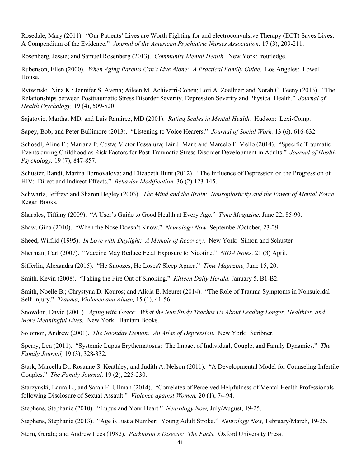Rosedale, Mary (2011). "Our Patients' Lives are Worth Fighting for and electroconvulsive Therapy (ECT) Saves Lives: A Compendium of the Evidence." *Journal of the American Psychiatric Nurses Association,* 17 (3), 209-211.

Rosenberg, Jessie; and Samuel Rosenberg (2013). *Community Mental Health.* New York: routledge.

Rubenson, Ellen (2000). *When Aging Parents Can't Live Alone: A Practical Family Guide.* Los Angeles: Lowell House.

Rytwinski, Nina K.; Jennifer S. Avena; Aileen M. Achiverri-Cohen; Lori A. Zoellner; and Norah C. Feeny (2013). "The Relationships between Posttraumatic Stress Disorder Severity, Depression Severity and Physical Health." *Journal of Health Psychology,* 19 (4), 509-520.

Sajatovic, Martha, MD; and Luis Ramirez, MD (2001). *Rating Scales in Mental Health.* Hudson: Lexi-Comp.

Sapey, Bob; and Peter Bullimore (2013). "Listening to Voice Hearers." *Journal of Social Work,* 13 (6), 616-632.

Schoedl, Aline F.; Mariana P. Costa; Victor Fossaluza; Jair J. Mari; and Marcelo F. Mello (2014). "Specific Traumatic Events during Childhood as Risk Factors for Post-Traumatic Stress Disorder Development in Adults." *Journal of Health Psychology,* 19 (7), 847-857.

Schuster, Randi; Marina Bornovalova; and Elizabeth Hunt (2012). "The Influence of Depression on the Progression of HIV: Direct and Indirect Effects." *Behavior Modification,* 36 (2) 123-145.

Schwartz, Jeffrey; and Sharon Begley (2003). *The Mind and the Brain: Neuroplasticity and the Power of Mental Force.* Regan Books.

Sharples, Tiffany (2009). "A User's Guide to Good Health at Every Age." *Time Magazine,* June 22, 85-90.

Shaw, Gina (2010). "When the Nose Doesn't Know." *Neurology Now,* September/October, 23-29.

Sheed, Wilfrid (1995). *In Love with Daylight: A Memoir of Recovery.* New York: Simon and Schuster

Sherman, Carl (2007). "Vaccine May Reduce Fetal Exposure to Nicotine." *NIDA Notes,* 21 (3) April.

Sifferlin, Alexandra (2015). "He Snoozes, He Loses? Sleep Apnea." *Time Magazine,* June 15, 20.

Smith, Kevin (2008). "Taking the Fire Out of Smoking." *Killeen Daily Herald,* January 5, B1-B2.

Smith, Noelle B.; Chrystyna D. Kouros; and Alicia E. Meuret (2014). "The Role of Trauma Symptoms in Nonsuicidal Self-Injury." *Trauma, Violence and Abuse,* 15 (1), 41-56.

Snowdon, David (2001). *Aging with Grace: What the Nun Study Teaches Us About Leading Longer, Healthier, and More Meaningful Lives.* New York: Bantam Books.

Solomon, Andrew (2001). *The Noonday Demon: An Atlas of Depression.* New York: Scribner.

Sperry, Len (2011). "Systemic Lupus Erythematosus: The Impact of Individual, Couple, and Family Dynamics." *The Family Journal,* 19 (3), 328-332.

Stark, Marcella D.; Rosanne S. Keathley; and Judith A. Nelson (2011). "A Developmental Model for Counseling Infertile Couples." *The Family Journal,* 19 (2), 225-230.

Starzynski, Laura L.; and Sarah E. Ullman (2014). "Correlates of Perceived Helpfulness of Mental Health Professionals following Disclosure of Sexual Assault." *Violence against Women,* 20 (1), 74-94.

Stephens, Stephanie (2010). "Lupus and Your Heart." *Neurology Now,* July/August, 19-25.

Stephens, Stephanie (2013). "Age is Just a Number: Young Adult Stroke." *Neurology Now,* February/March, 19-25.

Stern, Gerald; and Andrew Lees (1982). *Parkinson's Disease: The Facts.* Oxford University Press.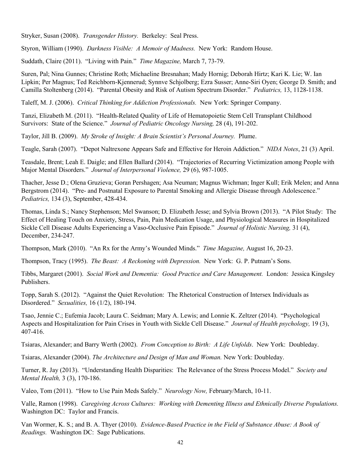Stryker, Susan (2008). *Transgender History.* Berkeley: Seal Press.

Styron, William (1990). *Darkness Visible: A Memoir of Madness.* New York: Random House.

Suddath, Claire (2011). "Living with Pain." *Time Magazine,* March 7, 73-79.

Suren, Pal; Nina Gunnes; Christine Roth; Michaeline Bresnahan; Mady Hornig; Deborah Hirtz; Kari K. Lie; W. Ian Lipkin; Per Magnus; Ted Reichborn-Kjennerud; Synnve Schjolberg; Ezra Susser; Anne-Siri Oyen; George D. Smith; and Camilla Stoltenberg (2014). "Parental Obesity and Risk of Autism Spectrum Disorder." *Pediatrics,* 13, 1128-1138.

Taleff, M. J. (2006). *Critical Thinking for Addiction Professionals.* New York: Springer Company.

Tanzi, Elizabeth M. (2011). "Health-Related Quality of Life of Hematopoietic Stem Cell Transplant Childhood Survivors: State of the Science." *Journal of Pediatric Oncology Nursing,* 28 (4), 191-202.

Taylor, Jill B. (2009). *My Stroke of Insight: A Brain Scientist's Personal Journey.* Plume.

Teagle, Sarah (2007). "Depot Naltrexone Appears Safe and Effective for Heroin Addiction." *NIDA Notes*, 21 (3) April.

Teasdale, Brent; Leah E. Daigle; and Ellen Ballard (2014). "Trajectories of Recurring Victimization among People with Major Mental Disorders." *Journal of Interpersonal Violence,* 29 (6), 987-1005.

Thacher, Jesse D.; Olena Gruzieva; Goran Pershagen; Asa Neuman; Magnus Wichman; Inger Kull; Erik Melen; and Anna Bergstrom (2014). "Pre- and Postnatal Exposure to Parental Smoking and Allergic Disease through Adolescence." *Pediatrics,* 134 (3), September, 428-434.

Thomas, Linda S.; Nancy Stephenson; Mel Swanson; D. Elizabeth Jesse; and Sylvia Brown (2013). "A Pilot Study: The Effect of Healing Touch on Anxiety, Stress, Pain, Pain Medication Usage, and Physiological Measures in Hospitalized Sickle Cell Disease Adults Experiencing a Vaso-Occlusive Pain Episode." *Journal of Holistic Nursing,* 31 (4), December, 234-247.

Thompson, Mark (2010). "An Rx for the Army's Wounded Minds." *Time Magazine,* August 16, 20-23.

Thompson, Tracy (1995). *The Beast: A Reckoning with Depression.* New York: G. P. Putnam's Sons.

Tibbs, Margaret (2001). *Social Work and Dementia: Good Practice and Care Management.* London: Jessica Kingsley Publishers.

Topp, Sarah S. (2012). "Against the Quiet Revolution: The Rhetorical Construction of Intersex Individuals as Disordered." *Sexualities,* 16 (1/2), 180-194.

Tsao, Jennie C.; Eufemia Jacob; Laura C. Seidman; Mary A. Lewis; and Lonnie K. Zeltzer (2014). "Psychological Aspects and Hospitalization for Pain Crises in Youth with Sickle Cell Disease." *Journal of Health psychology,* 19 (3), 407-416.

Tsiaras, Alexander; and Barry Werth (2002). *From Conception to Birth: A Life Unfolds*. New York: Doubleday.

Tsiaras, Alexander (2004). *The Architecture and Design of Man and Woman.* New York: Doubleday.

Turner, R. Jay (2013). "Understanding Health Disparities: The Relevance of the Stress Process Model." *Society and Mental Health,* 3 (3), 170-186.

Valeo, Tom (2011). "How to Use Pain Meds Safely." *Neurology Now,* February/March, 10-11.

Valle, Ramon (1998). *Caregiving Across Cultures: Working with Dementing Illness and Ethnically Diverse Populations.* Washington DC: Taylor and Francis.

Van Wormer, K. S.; and B. A. Thyer (2010). *Evidence-Based Practice in the Field of Substance Abuse: A Book of Readings.* Washington DC: Sage Publications.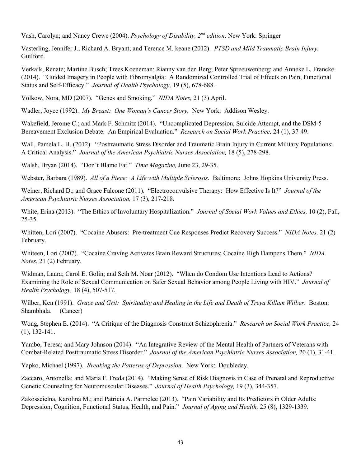Vash, Carolyn; and Nancy Crewe (2004). *Psychology of Disability, 2nd edition*. New York: Springer

Vasterling, Jennifer J.; Richard A. Bryant; and Terence M. keane (2012). *PTSD and Mild Traumatic Brain Injury.* Guilford.

Verkaik, Renate; Martine Busch; Trees Koeneman; Rianny van den Berg; Peter Spreeuwenberg; and Anneke L. Francke (2014). "Guided Imagery in People with Fibromyalgia: A Randomized Controlled Trial of Effects on Pain, Functional Status and Self-Efficacy." *Journal of Health Psychology,* 19 (5), 678-688.

Volkow, Nora, MD (2007). "Genes and Smoking." *NIDA Notes,* 21 (3) April.

Wadler, Joyce (1992). *My Breast: One Woman's Cancer Story.* New York: Addison Wesley.

Wakefield, Jerome C.; and Mark F. Schmitz (2014). "Uncomplicated Depression, Suicide Attempt, and the DSM-5 Bereavement Exclusion Debate: An Empirical Evaluation." *Research on Social Work Practice,* 24 (1), 37-49.

Wall, Pamela L. H. (2012). "Posttraumatic Stress Disorder and Traumatic Brain Injury in Current Military Populations: A Critical Analysis." *Journal of the American Psychiatric Nurses Association,* 18 (5), 278-298.

Walsh, Bryan (2014). "Don't Blame Fat." *Time Magazine,* June 23, 29-35.

Webster, Barbara (1989). *All of a Piece: A Life with Multiple Sclerosis.* Baltimore: Johns Hopkins University Press.

Weiner, Richard D.; and Grace Falcone (2011). "Electroconvulsive Therapy: How Effective Is It?" *Journal of the American Psychiatric Nurses Association,* 17 (3), 217-218.

White, Erina (2013). "The Ethics of Involuntary Hospitalization." *Journal of Social Work Values and Ethics,* 10 (2), Fall, 25-35.

Whitten, Lori (2007). "Cocaine Abusers: Pre-treatment Cue Responses Predict Recovery Success." *NIDA Notes,* 21 (2) February.

Whiteen, Lori (2007). "Cocaine Craving Activates Brain Reward Structures; Cocaine High Dampens Them." *NIDA Notes*, 21 (2) February.

Widman, Laura; Carol E. Golin; and Seth M. Noar (2012). "When do Condom Use Intentions Lead to Actions? Examining the Role of Sexual Communication on Safer Sexual Behavior among People Living with HIV." *Journal of Health Psychology,* 18 (4), 507-517.

Wilber, Ken (1991). *Grace and Grit: Spirituality and Healing in the Life and Death of Treya Killam Wilber*. Boston: Shambhala. (Cancer)

Wong, Stephen E. (2014). "A Critique of the Diagnosis Construct Schizophrenia." *Research on Social Work Practice,* 24 (1), 132-141.

Yambo, Teresa; and Mary Johnson (2014). "An Integrative Review of the Mental Health of Partners of Veterans with Combat-Related Posttraumatic Stress Disorder." *Journal of the American Psychiatric Nurses Association,* 20 (1), 31-41.

Yapko, Michael (1997). *Breaking the Patterns of Depression*. New York: Doubleday.

Zaccaro, Antonella; and Maria F. Freda (2014). "Making Sense of Risk Diagnosis in Case of Prenatal and Reproductive Genetic Counseling for Neuromuscular Diseases." *Journal of Health Psychology,* 19 (3), 344-357.

Zakosscielna, Karolina M.; and Patricia A. Parmelee (2013). "Pain Variability and Its Predictors in Older Adults: Depression, Cognition, Functional Status, Health, and Pain." *Journal of Aging and Health,* 25 (8), 1329-1339.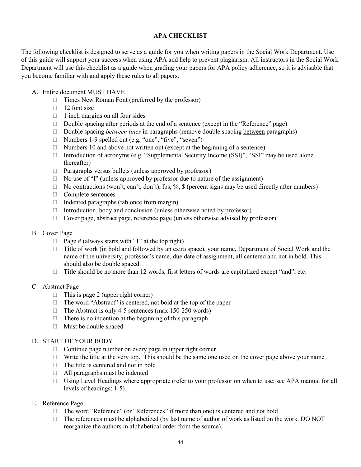## **APA CHECKLIST**

The following checklist is designed to serve as a guide for you when writing papers in the Social Work Department. Use of this guide will support your success when using APA and help to prevent plagiarism. All instructors in the Social Work Department will use this checklist as a guide when grading your papers for APA policy adherence, so it is advisable that you become familiar with and apply these rules to all papers.

### A. Entire document MUST HAVE

- □ Times New Roman Font (preferred by the professor)
- $\Box$  12 font size
- $\Box$  1 inch margins on all four sides
- $\Box$  Double spacing after periods at the end of a sentence (except in the "Reference" page)
- □ Double spacing *between lines* in paragraphs (remove double spacing between paragraphs)
- Numbers 1-9 spelled out (e.g. "one", "five", "seven")
- $\Box$  Numbers 10 and above not written out (except at the beginning of a sentence)
- $\Box$  Introduction of acronyms (e.g. "Supplemental Security Income (SSI)", "SSI" may be used alone thereafter)
- $\Box$  Paragraphs versus bullets (unless approved by professor)
- $\Box$  No use of "I" (unless approved by professor due to nature of the assignment)
- $\Box$  No contractions (won't, can't, don't), lbs, %, \$ (percent signs may be used directly after numbers)
- $\Box$  Complete sentences
- $\Box$  Indented paragraphs (tab once from margin)
- $\Box$  Introduction, body and conclusion (unless otherwise noted by professor)
- $\Box$  Cover page, abstract page, reference page (unless otherwise advised by professor)

### B. Cover Page

- $\Box$  Page # (always starts with "1" at the top right)
- $\Box$  Title of work (in bold and followed by an extra space), your name, Department of Social Work and the name of the university, professor's name, due date of assignment, all centered and not in bold. This should also be double spaced.
- $\Box$  Title should be no more than 12 words, first letters of words are capitalized except "and", etc.

### C. Abstract Page

- $\Box$  This is page 2 (upper right corner)
- $\Box$  The word "Abstract" is centered, not bold at the top of the paper
- $\Box$  The Abstract is only 4-5 sentences (max 150-250 words)
- $\Box$  There is no indention at the beginning of this paragraph
- Must be double spaced

### D. START OF YOUR BODY

- $\Box$  Continue page number on every page in upper right corner
- $\Box$  Write the title at the very top. This should be the same one used on the cover page above your name
- $\Box$  The title is centered and not in bold
- $\Box$  All paragraphs must be indented
- $\Box$  Using Level Headings where appropriate (refer to your professor on when to use; see APA manual for all levels of headings: 1-5)

### E. Reference Page

- □ The word "Reference" (or "References" if more than one) is centered and not bold
- $\Box$  The references must be alphabetized (by last name of author of work as listed on the work. DO NOT reorganize the authors in alphabetical order from the source).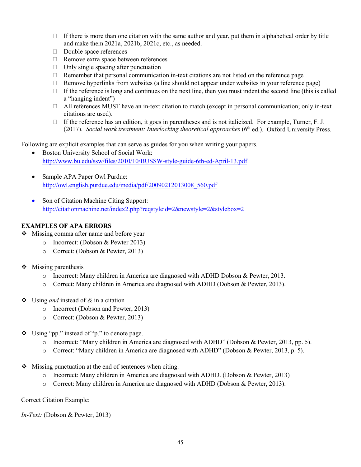- $\Box$  If there is more than one citation with the same author and year, put them in alphabetical order by title and make them 2021a, 2021b, 2021c, etc., as needed.
- Double space references
- □ Remove extra space between references
- $\Box$  Only single spacing after punctuation
- $\Box$  Remember that personal communication in-text citations are not listed on the reference page
- $\Box$  Remove hyperlinks from websites (a line should not appear under websites in your reference page)
- $\Box$  If the reference is long and continues on the next line, then you must indent the second line (this is called a "hanging indent")
- All references MUST have an in-text citation to match (except in personal communication; only in-text citations are used).
- If the reference has an edition, it goes in parentheses and is not italicized. For example, Turner, F. J. (2017). *Social work treatment: Interlocking theoretical approaches* (6<sup>th</sup> ed.). Oxford University Press.

Following are explicit examples that can serve as guides for you when writing your papers.

- Boston University School of Social Work: <http://www.bu.edu/ssw/files/2010/10/BUSSW-style-guide-6th-ed-April-13.pdf>
- Sample APA Paper Owl Purdue: [http://owl.english.purdue.edu/media/pdf/20090212013008\\_560.pdf](http://owl.english.purdue.edu/media/pdf/20090212013008_560.pdf)
- Son of Citation Machine Citing Support: <http://citationmachine.net/index2.php?reqstyleid=2&newstyle=2&stylebox=2>

## **EXAMPLES OF APA ERRORS**

- ❖ Missing comma after name and before year
	- o Incorrect: (Dobson & Pewter 2013)
	- o Correct: (Dobson & Pewter, 2013)
- $\triangleleft$  Missing parenthesis
	- o Incorrect: Many children in America are diagnosed with ADHD Dobson & Pewter, 2013.
	- o Correct: Many children in America are diagnosed with ADHD (Dobson & Pewter, 2013).
- Using *and* instead of *&* in a citation
	- o Incorrect (Dobson and Pewter, 2013)
	- o Correct: (Dobson & Pewter, 2013)
- Using "pp." instead of "p." to denote page.
	- o Incorrect: "Many children in America are diagnosed with ADHD" (Dobson & Pewter, 2013, pp. 5).
	- o Correct: "Many children in America are diagnosed with ADHD" (Dobson & Pewter, 2013, p. 5).
- Missing punctuation at the end of sentences when citing.
	- o Incorrect: Many children in America are diagnosed with ADHD. (Dobson & Pewter, 2013)
	- o Correct: Many children in America are diagnosed with ADHD (Dobson & Pewter, 2013).

### Correct Citation Example:

*In-Text:* (Dobson & Pewter, 2013)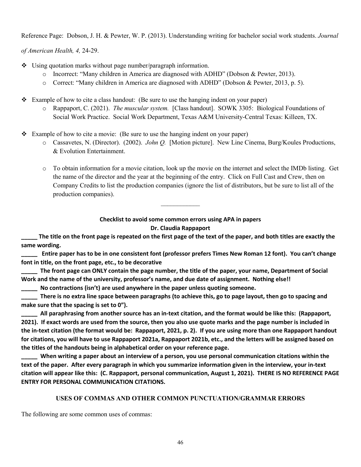Reference Page: Dobson, J. H. & Pewter, W. P. (2013). Understanding writing for bachelor social work students. *Journal* 

*of American Health, 4,* 24-29.

- Using quotation marks without page number/paragraph information.
	- o Incorrect: "Many children in America are diagnosed with ADHD" (Dobson & Pewter, 2013).
	- o Correct: "Many children in America are diagnosed with ADHD" (Dobson & Pewter, 2013, p. 5).
- $\div$  Example of how to cite a class handout: (Be sure to use the hanging indent on your paper)
	- o Rappaport, C. (2021). *The muscular system.* [Class handout]. SOWK 3305: Biological Foundations of Social Work Practice. Social Work Department, Texas A&M University-Central Texas: Killeen, TX.
- Example of how to cite a movie: (Be sure to use the hanging indent on your paper)
	- o Cassavetes, N. (Director). (2002). *John Q.* [Motion picture]. New Line Cinema, Burg/Koules Productions, & Evolution Entertainment.
	- o To obtain information for a movie citation, look up the movie on the internet and select the IMDb listing. Get the name of the director and the year at the beginning of the entry. Click on Full Cast and Crew, then on Company Credits to list the production companies (ignore the list of distributors, but be sure to list all of the production companies).

**Checklist to avoid some common errors using APA in papers**

 $\frac{1}{2}$ 

### **Dr. Claudia Rappaport**

**\_\_\_\_\_ The title on the front page is repeated on the first page of the text of the paper, and both titles are exactly the same wording.**

**\_\_\_\_\_ Entire paper has to be in one consistent font (professor prefers Times New Roman 12 font). You can't change font in title, on the front page, etc., to be decorative**

**\_\_\_\_\_ The front page can ONLY contain the page number, the title of the paper, your name, Department of Social Work and the name of the university, professor's name, and due date of assignment. Nothing else!!**

**\_\_\_\_\_ No contractions (isn't) are used anywhere in the paper unless quoting someone.**

**\_\_\_\_\_ There is no extra line space between paragraphs (to achieve this, go to page layout, then go to spacing and make sure that the spacing is set to 0").**

**\_\_\_\_\_ All paraphrasing from another source has an in-text citation, and the format would be like this: (Rappaport, 2021). If exact words are used from the source, then you also use quote marks and the page number is included in the in-text citation (the format would be: Rappaport, 2021, p. 2). If you are using more than one Rappaport handout for citations, you will have to use Rappaport 2021a, Rappaport 2021b, etc., and the letters will be assigned based on the titles of the handouts being in alphabetical order on your reference page.**

When writing a paper about an interview of a person, you use personal communication citations within the **text of the paper. After every paragraph in which you summarize information given in the interview, your in-text citation will appear like this: (C. Rappaport, personal communication, August 1, 2021). THERE IS NO REFERENCE PAGE ENTRY FOR PERSONAL COMMUNICATION CITATIONS.**

### **USES OF COMMAS AND OTHER COMMON PUNCTUATION/GRAMMAR ERRORS**

The following are some common uses of commas: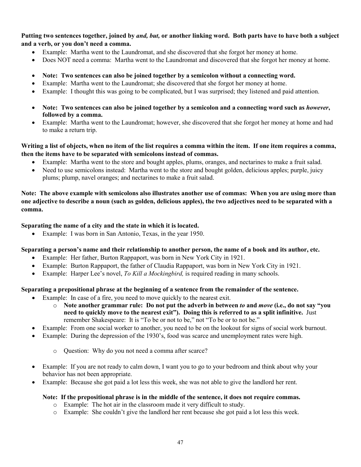## **Putting two sentences together, joined by** *and, but,* **or another linking word. Both parts have to have both a subject and a verb, or you don't need a comma.**

- Example: Martha went to the Laundromat, and she discovered that she forgot her money at home.
- Does NOT need a comma: Martha went to the Laundromat and discovered that she forgot her money at home.
- **Note: Two sentences can also be joined together by a semicolon without a connecting word.**
- Example: Martha went to the Laundromat; she discovered that she forgot her money at home.
- Example: I thought this was going to be complicated, but I was surprised; they listened and paid attention.
- **Note: Two sentences can also be joined together by a semicolon and a connecting word such as** *however***, followed by a comma.**
- Example: Martha went to the Laundromat; however, she discovered that she forgot her money at home and had to make a return trip.

## **Writing a list of objects, when no item of the list requires a comma within the item. If one item requires a comma, then the items have to be separated with semicolons instead of commas.**

- Example: Martha went to the store and bought apples, plums, oranges, and nectarines to make a fruit salad.
- Need to use semicolons instead: Martha went to the store and bought golden, delicious apples; purple, juicy plums; plump, navel oranges; and nectarines to make a fruit salad.

**Note: The above example with semicolons also illustrates another use of commas: When you are using more than one adjective to describe a noun (such as golden, delicious apples), the two adjectives need to be separated with a comma.**

## **Separating the name of a city and the state in which it is located.**

• Example: I was born in San Antonio, Texas, in the year 1950.

### **Separating a person's name and their relationship to another person, the name of a book and its author, etc.**

- Example: Her father, Burton Rappaport, was born in New York City in 1921.
- Example: Burton Rappaport, the father of Claudia Rappaport, was born in New York City in 1921.
- Example: Harper Lee's novel, *To Kill a Mockingbird,* is required reading in many schools.

### **Separating a prepositional phrase at the beginning of a sentence from the remainder of the sentence.**

- Example: In case of a fire, you need to move quickly to the nearest exit.
	- o **Note another grammar rule: Do not put the adverb in between** *to* **and** *move* **(i.e., do not say "you need to quickly move to the nearest exit"). Doing this is referred to as a split infinitive.** Just remember Shakespeare: It is "To be or not to be," not "To be or to not be."
- Example: From one social worker to another, you need to be on the lookout for signs of social work burnout.
- Example: During the depression of the 1930's, food was scarce and unemployment rates were high.
	- o Question: Why do you not need a comma after scarce?
- Example: If you are not ready to calm down, I want you to go to your bedroom and think about why your behavior has not been appropriate.
- Example: Because she got paid a lot less this week, she was not able to give the landlord her rent.

### **Note: If the prepositional phrase is in the middle of the sentence, it does not require commas.**

- o Example: The hot air in the classroom made it very difficult to study.
- o Example: She couldn't give the landlord her rent because she got paid a lot less this week.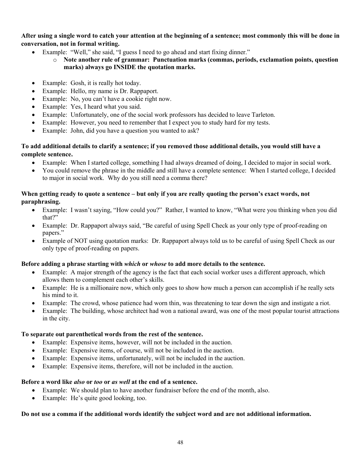**After using a single word to catch your attention at the beginning of a sentence; most commonly this will be done in conversation, not in formal writing.**

- Example: "Well," she said, "I guess I need to go ahead and start fixing dinner."
	- o **Note another rule of grammar: Punctuation marks (commas, periods, exclamation points, question marks) always go INSIDE the quotation marks.**
- Example: Gosh, it is really hot today.
- Example: Hello, my name is Dr. Rappaport.
- Example: No, you can't have a cookie right now.
- Example: Yes, I heard what you said.
- Example: Unfortunately, one of the social work professors has decided to leave Tarleton.
- Example: However, you need to remember that I expect you to study hard for my tests.
- Example: John, did you have a question you wanted to ask?

## **To add additional details to clarify a sentence; if you removed those additional details, you would still have a complete sentence.**

- Example: When I started college, something I had always dreamed of doing, I decided to major in social work.
- You could remove the phrase in the middle and still have a complete sentence: When I started college, I decided to major in social work. Why do you still need a comma there?

## **When getting ready to quote a sentence – but only if you are really quoting the person's exact words, not paraphrasing.**

- Example: I wasn't saying, "How could you?" Rather, I wanted to know, "What were you thinking when you did that?"
- Example: Dr. Rappaport always said, "Be careful of using Spell Check as your only type of proof-reading on papers."
- Example of NOT using quotation marks: Dr. Rappaport always told us to be careful of using Spell Check as our only type of proof-reading on papers.

## **Before adding a phrase starting with** *which* **or** *whose* **to add more details to the sentence.**

- Example: A major strength of the agency is the fact that each social worker uses a different approach, which allows them to complement each other's skills.
- Example: He is a millionaire now, which only goes to show how much a person can accomplish if he really sets his mind to it.
- Example: The crowd, whose patience had worn thin, was threatening to tear down the sign and instigate a riot.
- Example: The building, whose architect had won a national award, was one of the most popular tourist attractions in the city.

## **To separate out parenthetical words from the rest of the sentence.**

- Example: Expensive items, however, will not be included in the auction.
- Example: Expensive items, of course, will not be included in the auction.
- Example: Expensive items, unfortunately, will not be included in the auction.
- Example: Expensive items, therefore, will not be included in the auction.

## **Before a word like** *also* **or** *too* **or** *as well* **at the end of a sentence.**

- Example: We should plan to have another fundraiser before the end of the month, also.
- Example: He's quite good looking, too.

# **Do not use a comma if the additional words identify the subject word and are not additional information.**